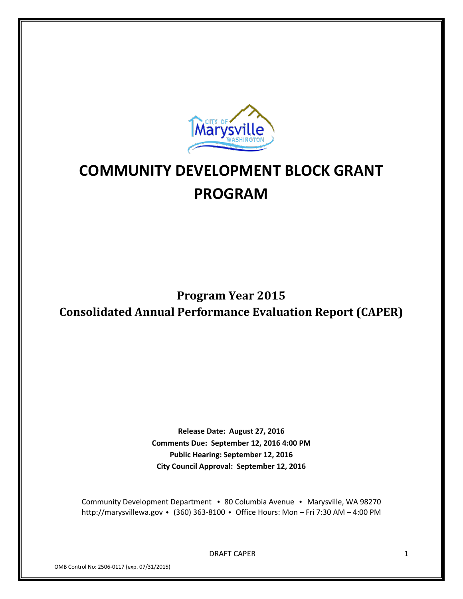

# **COMMUNITY DEVELOPMENT BLOCK GRANT PROGRAM**

# **Program Year 2015 Consolidated Annual Performance Evaluation Report (CAPER)**

**Release Date: August 27, 2016 Comments Due: September 12, 2016 4:00 PM Public Hearing: September 12, 2016 City Council Approval: September 12, 2016**

Community Development Department • 80 Columbia Avenue • Marysville, WA 98270 http://marysvillewa.gov • (360) 363-8100 • Office Hours: Mon – Fri 7:30 AM – 4:00 PM

DRAFT CAPER 1

OMB Control No: 2506-0117 (exp. 07/31/2015)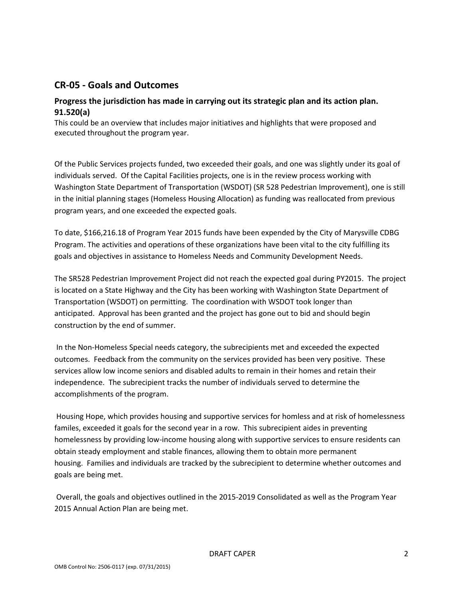## **CR-05 - Goals and Outcomes**

### **Progress the jurisdiction has made in carrying out its strategic plan and its action plan. 91.520(a)**

This could be an overview that includes major initiatives and highlights that were proposed and executed throughout the program year.

Of the Public Services projects funded, two exceeded their goals, and one was slightly under its goal of individuals served. Of the Capital Facilities projects, one is in the review process working with Washington State Department of Transportation (WSDOT) (SR 528 Pedestrian Improvement), one is still in the initial planning stages (Homeless Housing Allocation) as funding was reallocated from previous program years, and one exceeded the expected goals.

To date, \$166,216.18 of Program Year 2015 funds have been expended by the City of Marysville CDBG Program. The activities and operations of these organizations have been vital to the city fulfilling its goals and objectives in assistance to Homeless Needs and Community Development Needs.

The SR528 Pedestrian Improvement Project did not reach the expected goal during PY2015. The project is located on a State Highway and the City has been working with Washington State Department of Transportation (WSDOT) on permitting. The coordination with WSDOT took longer than anticipated. Approval has been granted and the project has gone out to bid and should begin construction by the end of summer.

In the Non-Homeless Special needs category, the subrecipients met and exceeded the expected outcomes. Feedback from the community on the services provided has been very positive. These services allow low income seniors and disabled adults to remain in their homes and retain their independence. The subrecipient tracks the number of individuals served to determine the accomplishments of the program.

Housing Hope, which provides housing and supportive services for homless and at risk of homelessness familes, exceeded it goals for the second year in a row. This subrecipient aides in preventing homelessness by providing low-income housing along with supportive services to ensure residents can obtain steady employment and stable finances, allowing them to obtain more permanent housing. Families and individuals are tracked by the subrecipient to determine whether outcomes and goals are being met.

Overall, the goals and objectives outlined in the 2015-2019 Consolidated as well as the Program Year 2015 Annual Action Plan are being met.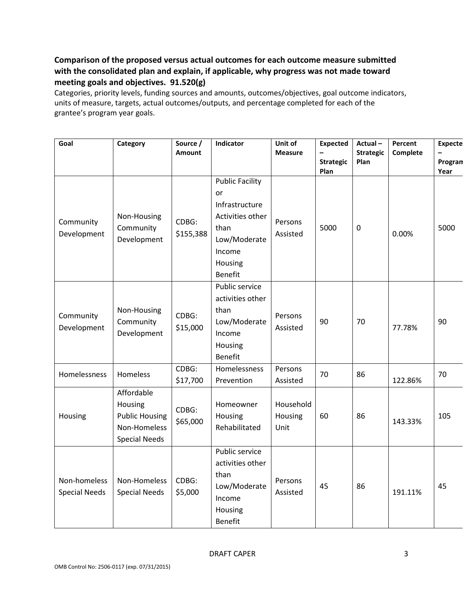## **Comparison of the proposed versus actual outcomes for each outcome measure submitted with the consolidated plan and explain, if applicable, why progress was not made toward meeting goals and objectives. 91.520(g)**

Categories, priority levels, funding sources and amounts, outcomes/objectives, goal outcome indicators, units of measure, targets, actual outcomes/outputs, and percentage completed for each of the grantee's program year goals.

| Goal                                 | Category                                                                               | Source /<br>Amount | Indicator                                                                                                                  | Unit of<br><b>Measure</b>    | <b>Expected</b>          | Actual-<br><b>Strategic</b> | Percent<br>Complete | <b>Expecte</b>  |
|--------------------------------------|----------------------------------------------------------------------------------------|--------------------|----------------------------------------------------------------------------------------------------------------------------|------------------------------|--------------------------|-----------------------------|---------------------|-----------------|
|                                      |                                                                                        |                    |                                                                                                                            |                              | <b>Strategic</b><br>Plan | Plan                        |                     | Progran<br>Year |
| Community<br>Development             | Non-Housing<br>Community<br>Development                                                | CDBG:<br>\$155,388 | <b>Public Facility</b><br>or<br>Infrastructure<br>Activities other<br>than<br>Low/Moderate<br>Income<br>Housing<br>Benefit | Persons<br>Assisted          | 5000                     | $\pmb{0}$                   | 0.00%               | 5000            |
| Community<br>Development             | Non-Housing<br>Community<br>Development                                                | CDBG:<br>\$15,000  | Public service<br>activities other<br>than<br>Low/Moderate<br>Income<br>Housing<br>Benefit                                 | Persons<br>Assisted          | 90                       | 70                          | 77.78%              | 90              |
| Homelessness                         | Homeless                                                                               | CDBG:<br>\$17,700  | Homelessness<br>Prevention                                                                                                 | Persons<br>Assisted          | 70                       | 86                          | 122.86%             | 70              |
| Housing                              | Affordable<br>Housing<br><b>Public Housing</b><br>Non-Homeless<br><b>Special Needs</b> | CDBG:<br>\$65,000  | Homeowner<br>Housing<br>Rehabilitated                                                                                      | Household<br>Housing<br>Unit | 60                       | 86                          | 143.33%             | 105             |
| Non-homeless<br><b>Special Needs</b> | Non-Homeless<br><b>Special Needs</b>                                                   | CDBG:<br>\$5,000   | Public service<br>activities other<br>than<br>Low/Moderate<br>Income<br>Housing<br>Benefit                                 | Persons<br>Assisted          | 45                       | 86                          | 191.11%             | 45              |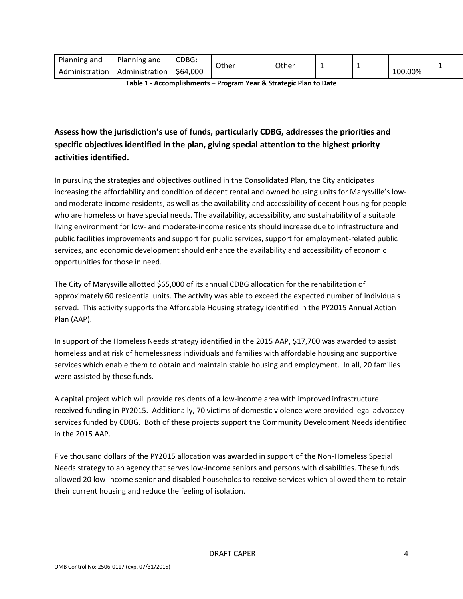| Planning and          | Planning and                | CDBG:    | Other | Other |  |         |  |
|-----------------------|-----------------------------|----------|-------|-------|--|---------|--|
| . .<br>Administration | $\cdot$ .<br>Administration | \$64,000 |       |       |  | 100.00% |  |

**Table 1 - Accomplishments – Program Year & Strategic Plan to Date**

## **Assess how the jurisdiction's use of funds, particularly CDBG, addresses the priorities and specific objectives identified in the plan, giving special attention to the highest priority activities identified.**

In pursuing the strategies and objectives outlined in the Consolidated Plan, the City anticipates increasing the affordability and condition of decent rental and owned housing units for Marysville's lowand moderate-income residents, as well as the availability and accessibility of decent housing for people who are homeless or have special needs. The availability, accessibility, and sustainability of a suitable living environment for low- and moderate-income residents should increase due to infrastructure and public facilities improvements and support for public services, support for employment-related public services, and economic development should enhance the availability and accessibility of economic opportunities for those in need.

The City of Marysville allotted \$65,000 of its annual CDBG allocation for the rehabilitation of approximately 60 residential units. The activity was able to exceed the expected number of individuals served. This activity supports the Affordable Housing strategy identified in the PY2015 Annual Action Plan (AAP).

In support of the Homeless Needs strategy identified in the 2015 AAP, \$17,700 was awarded to assist homeless and at risk of homelessness individuals and families with affordable housing and supportive services which enable them to obtain and maintain stable housing and employment. In all, 20 families were assisted by these funds.

A capital project which will provide residents of a low-income area with improved infrastructure received funding in PY2015. Additionally, 70 victims of domestic violence were provided legal advocacy services funded by CDBG. Both of these projects support the Community Development Needs identified in the 2015 AAP.

Five thousand dollars of the PY2015 allocation was awarded in support of the Non-Homeless Special Needs strategy to an agency that serves low-income seniors and persons with disabilities. These funds allowed 20 low-income senior and disabled households to receive services which allowed them to retain their current housing and reduce the feeling of isolation.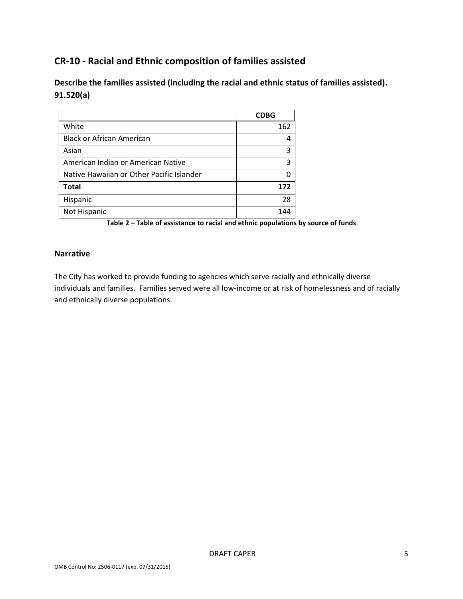## **CR-10 - Racial and Ethnic composition of families assisted**

**Describe the families assisted (including the racial and ethnic status of families assisted). 91.520(a)** 

|                                           | <b>CDBG</b> |
|-------------------------------------------|-------------|
| White                                     | 162         |
| <b>Black or African American</b>          |             |
| Asian                                     | ς           |
| American Indian or American Native        | ς           |
| Native Hawaiian or Other Pacific Islander |             |
| <b>Total</b>                              | 172         |
| Hispanic                                  | 28          |
| Not Hispanic                              |             |

**Table 2 – Table of assistance to racial and ethnic populations by source of funds**

#### **Narrative**

The City has worked to provide funding to agencies which serve racially and ethnically diverse individuals and families. Families served were all low-income or at risk of homelessness and of racially and ethnically diverse populations.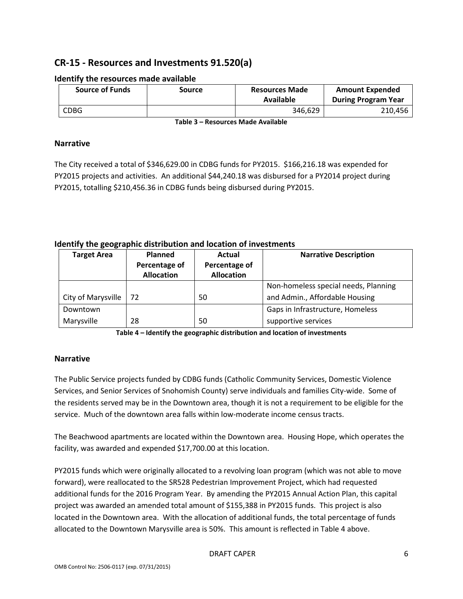## **CR-15 - Resources and Investments 91.520(a)**

| <b>Source of Funds</b> | Source | <b>Resources Made</b><br>Available | <b>Amount Expended</b><br><b>During Program Year</b> |  |  |  |  |  |  |
|------------------------|--------|------------------------------------|------------------------------------------------------|--|--|--|--|--|--|
| <b>CDBG</b>            |        | 346.629                            | 210.456                                              |  |  |  |  |  |  |

#### **Identify the resources made available**

**Table 3 – Resources Made Available**

#### **Narrative**

The City received a total of \$346,629.00 in CDBG funds for PY2015. \$166,216.18 was expended for PY2015 projects and activities. An additional \$44,240.18 was disbursed for a PY2014 project during PY2015, totalling \$210,456.36 in CDBG funds being disbursed during PY2015.

### **Identify the geographic distribution and location of investments**

| <b>Target Area</b> | Planned           | Actual            | <b>Narrative Description</b>         |
|--------------------|-------------------|-------------------|--------------------------------------|
|                    | Percentage of     | Percentage of     |                                      |
|                    | <b>Allocation</b> | <b>Allocation</b> |                                      |
|                    |                   |                   | Non-homeless special needs, Planning |
| City of Marysville | 72                | 50                | and Admin., Affordable Housing       |
| Downtown           |                   |                   | Gaps in Infrastructure, Homeless     |
| Marysville         | 28                | 50                | supportive services                  |

**Table 4 – Identify the geographic distribution and location of investments**

### **Narrative**

The Public Service projects funded by CDBG funds (Catholic Community Services, Domestic Violence Services, and Senior Services of Snohomish County) serve individuals and families City-wide. Some of the residents served may be in the Downtown area, though it is not a requirement to be eligible for the service. Much of the downtown area falls within low-moderate income census tracts.

The Beachwood apartments are located within the Downtown area. Housing Hope, which operates the facility, was awarded and expended \$17,700.00 at this location.

PY2015 funds which were originally allocated to a revolving loan program (which was not able to move forward), were reallocated to the SR528 Pedestrian Improvement Project, which had requested additional funds for the 2016 Program Year. By amending the PY2015 Annual Action Plan, this capital project was awarded an amended total amount of \$155,388 in PY2015 funds. This project is also located in the Downtown area. With the allocation of additional funds, the total percentage of funds allocated to the Downtown Marysville area is 50%. This amount is reflected in Table 4 above.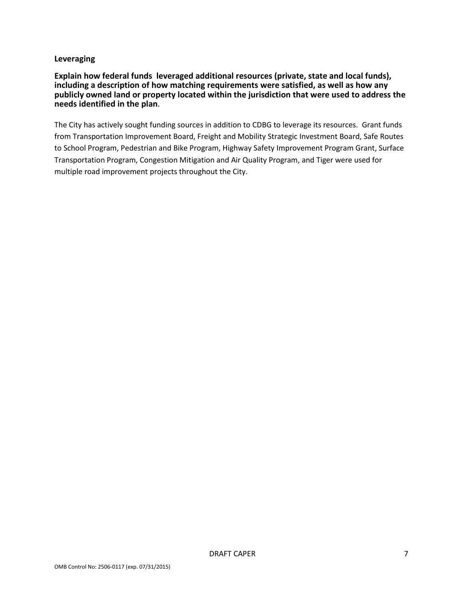#### **Leveraging**

**Explain how federal funds leveraged additional resources (private, state and local funds), including a description of how matching requirements were satisfied, as well as how any publicly owned land or property located within the jurisdiction that were used to address the needs identified in the plan**.

The City has actively sought funding sources in addition to CDBG to leverage its resources. Grant funds from Transportation Improvement Board, Freight and Mobility Strategic Investment Board, Safe Routes to School Program, Pedestrian and Bike Program, Highway Safety Improvement Program Grant, Surface Transportation Program, Congestion Mitigation and Air Quality Program, and Tiger were used for multiple road improvement projects throughout the City.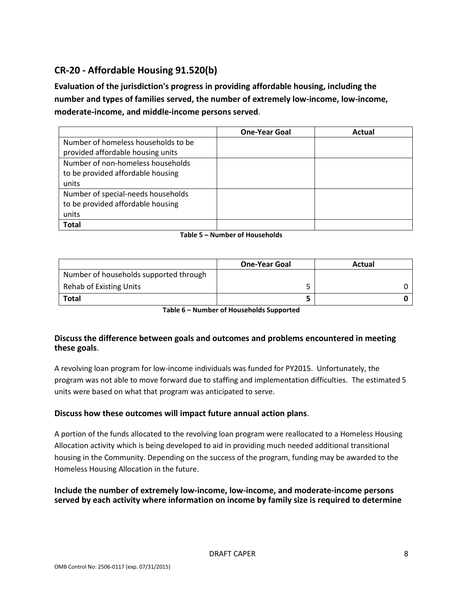## **CR-20 - Affordable Housing 91.520(b)**

**Evaluation of the jurisdiction's progress in providing affordable housing, including the number and types of families served, the number of extremely low-income, low-income, moderate-income, and middle-income persons served**.

|                                     | <b>One-Year Goal</b> | Actual |
|-------------------------------------|----------------------|--------|
| Number of homeless households to be |                      |        |
| provided affordable housing units   |                      |        |
| Number of non-homeless households   |                      |        |
| to be provided affordable housing   |                      |        |
| units                               |                      |        |
| Number of special-needs households  |                      |        |
| to be provided affordable housing   |                      |        |
| units                               |                      |        |
| <b>Total</b>                        |                      |        |

#### **Table 5 – Number of Households**

|                                        | <b>One-Year Goal</b> | Actual |
|----------------------------------------|----------------------|--------|
| Number of households supported through |                      |        |
| Rehab of Existing Units                |                      |        |
| Total                                  |                      |        |

**Table 6 – Number of Households Supported**

### **Discuss the difference between goals and outcomes and problems encountered in meeting these goals**.

A revolving loan program for low-income individuals was funded for PY2015. Unfortunately, the program was not able to move forward due to staffing and implementation difficulties. The estimated 5 units were based on what that program was anticipated to serve.

### **Discuss how these outcomes will impact future annual action plans**.

A portion of the funds allocated to the revolving loan program were reallocated to a Homeless Housing Allocation activity which is being developed to aid in providing much needed additional transitional housing in the Community. Depending on the success of the program, funding may be awarded to the Homeless Housing Allocation in the future.

#### **Include the number of extremely low-income, low-income, and moderate-income persons served by each activity where information on income by family size is required to determine**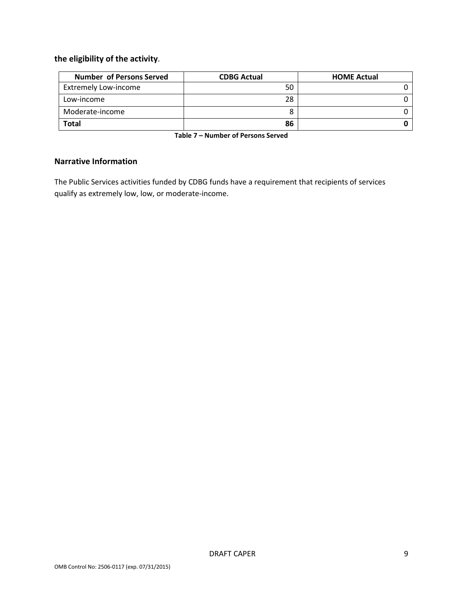## **the eligibility of the activity**.

| <b>Number of Persons Served</b> | <b>CDBG Actual</b> | <b>HOME Actual</b> |
|---------------------------------|--------------------|--------------------|
| <b>Extremely Low-income</b>     | 50                 |                    |
| Low-income                      | 28                 |                    |
| Moderate-income                 |                    |                    |
| <b>Total</b>                    | 86                 |                    |

**Table 7 – Number of Persons Served**

#### **Narrative Information**

The Public Services activities funded by CDBG funds have a requirement that recipients of services qualify as extremely low, low, or moderate-income.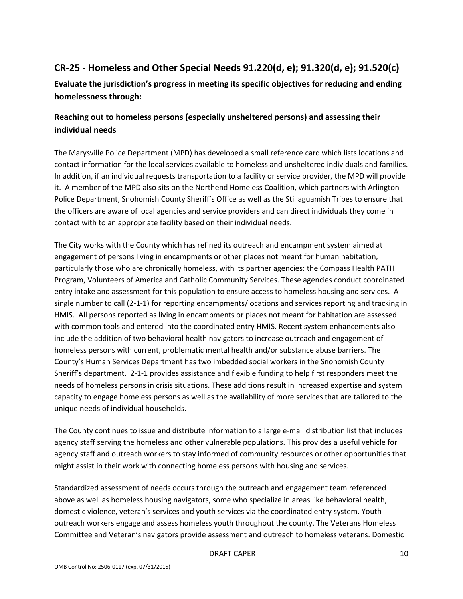# **CR-25 - Homeless and Other Special Needs 91.220(d, e); 91.320(d, e); 91.520(c)**

**Evaluate the jurisdiction's progress in meeting its specific objectives for reducing and ending homelessness through:**

## **Reaching out to homeless persons (especially unsheltered persons) and assessing their individual needs**

The Marysville Police Department (MPD) has developed a small reference card which lists locations and contact information for the local services available to homeless and unsheltered individuals and families. In addition, if an individual requests transportation to a facility or service provider, the MPD will provide it. A member of the MPD also sits on the Northend Homeless Coalition, which partners with Arlington Police Department, Snohomish County Sheriff's Office as well as the Stillaguamish Tribes to ensure that the officers are aware of local agencies and service providers and can direct individuals they come in contact with to an appropriate facility based on their individual needs.

The City works with the County which has refined its outreach and encampment system aimed at engagement of persons living in encampments or other places not meant for human habitation, particularly those who are chronically homeless, with its partner agencies: the Compass Health PATH Program, Volunteers of America and Catholic Community Services. These agencies conduct coordinated entry intake and assessment for this population to ensure access to homeless housing and services. A single number to call (2-1-1) for reporting encampments/locations and services reporting and tracking in HMIS. All persons reported as living in encampments or places not meant for habitation are assessed with common tools and entered into the coordinated entry HMIS. Recent system enhancements also include the addition of two behavioral health navigators to increase outreach and engagement of homeless persons with current, problematic mental health and/or substance abuse barriers. The County's Human Services Department has two imbedded social workers in the Snohomish County Sheriff's department. 2-1-1 provides assistance and flexible funding to help first responders meet the needs of homeless persons in crisis situations. These additions result in increased expertise and system capacity to engage homeless persons as well as the availability of more services that are tailored to the unique needs of individual households.

The County continues to issue and distribute information to a large e-mail distribution list that includes agency staff serving the homeless and other vulnerable populations. This provides a useful vehicle for agency staff and outreach workers to stay informed of community resources or other opportunities that might assist in their work with connecting homeless persons with housing and services.

Standardized assessment of needs occurs through the outreach and engagement team referenced above as well as homeless housing navigators, some who specialize in areas like behavioral health, domestic violence, veteran's services and youth services via the coordinated entry system. Youth outreach workers engage and assess homeless youth throughout the county. The Veterans Homeless Committee and Veteran's navigators provide assessment and outreach to homeless veterans. Domestic

#### DRAFT CAPER 10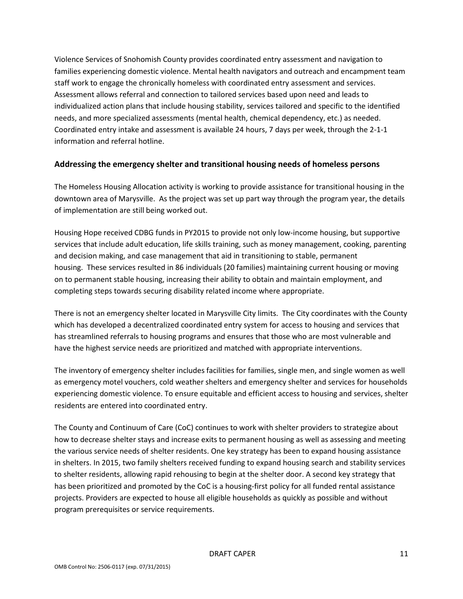Violence Services of Snohomish County provides coordinated entry assessment and navigation to families experiencing domestic violence. Mental health navigators and outreach and encampment team staff work to engage the chronically homeless with coordinated entry assessment and services. Assessment allows referral and connection to tailored services based upon need and leads to individualized action plans that include housing stability, services tailored and specific to the identified needs, and more specialized assessments (mental health, chemical dependency, etc.) as needed. Coordinated entry intake and assessment is available 24 hours, 7 days per week, through the 2-1-1 information and referral hotline.

### **Addressing the emergency shelter and transitional housing needs of homeless persons**

The Homeless Housing Allocation activity is working to provide assistance for transitional housing in the downtown area of Marysville. As the project was set up part way through the program year, the details of implementation are still being worked out.

Housing Hope received CDBG funds in PY2015 to provide not only low-income housing, but supportive services that include adult education, life skills training, such as money management, cooking, parenting and decision making, and case management that aid in transitioning to stable, permanent housing. These services resulted in 86 individuals (20 families) maintaining current housing or moving on to permanent stable housing, increasing their ability to obtain and maintain employment, and completing steps towards securing disability related income where appropriate.

There is not an emergency shelter located in Marysville City limits. The City coordinates with the County which has developed a decentralized coordinated entry system for access to housing and services that has streamlined referrals to housing programs and ensures that those who are most vulnerable and have the highest service needs are prioritized and matched with appropriate interventions.

The inventory of emergency shelter includes facilities for families, single men, and single women as well as emergency motel vouchers, cold weather shelters and emergency shelter and services for households experiencing domestic violence. To ensure equitable and efficient access to housing and services, shelter residents are entered into coordinated entry.

The County and Continuum of Care (CoC) continues to work with shelter providers to strategize about how to decrease shelter stays and increase exits to permanent housing as well as assessing and meeting the various service needs of shelter residents. One key strategy has been to expand housing assistance in shelters. In 2015, two family shelters received funding to expand housing search and stability services to shelter residents, allowing rapid rehousing to begin at the shelter door. A second key strategy that has been prioritized and promoted by the CoC is a housing-first policy for all funded rental assistance projects. Providers are expected to house all eligible households as quickly as possible and without program prerequisites or service requirements.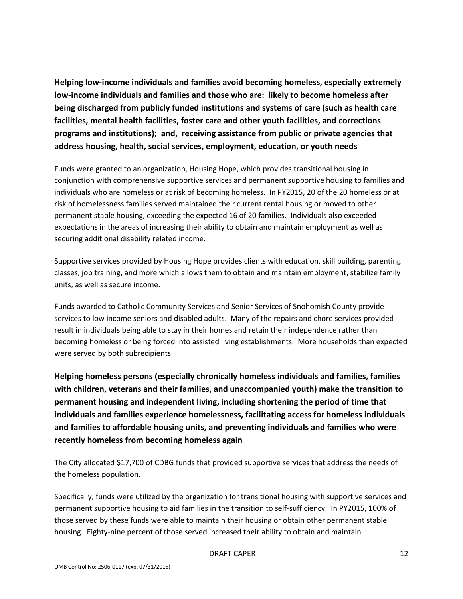**Helping low-income individuals and families avoid becoming homeless, especially extremely low-income individuals and families and those who are: likely to become homeless after being discharged from publicly funded institutions and systems of care (such as health care facilities, mental health facilities, foster care and other youth facilities, and corrections programs and institutions); and, receiving assistance from public or private agencies that address housing, health, social services, employment, education, or youth needs**

Funds were granted to an organization, Housing Hope, which provides transitional housing in conjunction with comprehensive supportive services and permanent supportive housing to families and individuals who are homeless or at risk of becoming homeless. In PY2015, 20 of the 20 homeless or at risk of homelessness families served maintained their current rental housing or moved to other permanent stable housing, exceeding the expected 16 of 20 families. Individuals also exceeded expectations in the areas of increasing their ability to obtain and maintain employment as well as securing additional disability related income.

Supportive services provided by Housing Hope provides clients with education, skill building, parenting classes, job training, and more which allows them to obtain and maintain employment, stabilize family units, as well as secure income.

Funds awarded to Catholic Community Services and Senior Services of Snohomish County provide services to low income seniors and disabled adults. Many of the repairs and chore services provided result in individuals being able to stay in their homes and retain their independence rather than becoming homeless or being forced into assisted living establishments. More households than expected were served by both subrecipients.

**Helping homeless persons (especially chronically homeless individuals and families, families with children, veterans and their families, and unaccompanied youth) make the transition to permanent housing and independent living, including shortening the period of time that individuals and families experience homelessness, facilitating access for homeless individuals and families to affordable housing units, and preventing individuals and families who were recently homeless from becoming homeless again**

The City allocated \$17,700 of CDBG funds that provided supportive services that address the needs of the homeless population.

Specifically, funds were utilized by the organization for transitional housing with supportive services and permanent supportive housing to aid families in the transition to self-sufficiency. In PY2015, 100% of those served by these funds were able to maintain their housing or obtain other permanent stable housing. Eighty-nine percent of those served increased their ability to obtain and maintain

#### DRAFT CAPER 12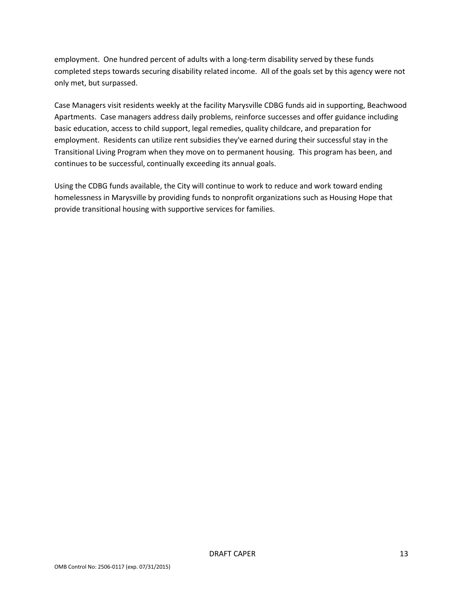employment. One hundred percent of adults with a long-term disability served by these funds completed steps towards securing disability related income. All of the goals set by this agency were not only met, but surpassed.

Case Managers visit residents weekly at the facility Marysville CDBG funds aid in supporting, Beachwood Apartments. Case managers address daily problems, reinforce successes and offer guidance including basic education, access to child support, legal remedies, quality childcare, and preparation for employment. Residents can utilize rent subsidies they've earned during their successful stay in the Transitional Living Program when they move on to permanent housing. This program has been, and continues to be successful, continually exceeding its annual goals.

Using the CDBG funds available, the City will continue to work to reduce and work toward ending homelessness in Marysville by providing funds to nonprofit organizations such as Housing Hope that provide transitional housing with supportive services for families.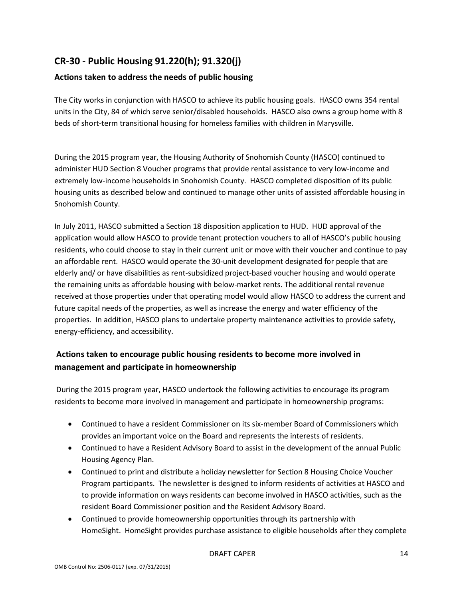## **CR-30 - Public Housing 91.220(h); 91.320(j)**

## **Actions taken to address the needs of public housing**

The City works in conjunction with HASCO to achieve its public housing goals. HASCO owns 354 rental units in the City, 84 of which serve senior/disabled households. HASCO also owns a group home with 8 beds of short-term transitional housing for homeless families with children in Marysville.

During the 2015 program year, the Housing Authority of Snohomish County (HASCO) continued to administer HUD Section 8 Voucher programs that provide rental assistance to very low-income and extremely low-income households in Snohomish County. HASCO completed disposition of its public housing units as described below and continued to manage other units of assisted affordable housing in Snohomish County.

In July 2011, HASCO submitted a Section 18 disposition application to HUD. HUD approval of the application would allow HASCO to provide tenant protection vouchers to all of HASCO's public housing residents, who could choose to stay in their current unit or move with their voucher and continue to pay an affordable rent. HASCO would operate the 30-unit development designated for people that are elderly and/ or have disabilities as rent-subsidized project-based voucher housing and would operate the remaining units as affordable housing with below-market rents. The additional rental revenue received at those properties under that operating model would allow HASCO to address the current and future capital needs of the properties, as well as increase the energy and water efficiency of the properties. In addition, HASCO plans to undertake property maintenance activities to provide safety, energy-efficiency, and accessibility.

## **Actions taken to encourage public housing residents to become more involved in management and participate in homeownership**

During the 2015 program year, HASCO undertook the following activities to encourage its program residents to become more involved in management and participate in homeownership programs:

- Continued to have a resident Commissioner on its six-member Board of Commissioners which provides an important voice on the Board and represents the interests of residents.
- Continued to have a Resident Advisory Board to assist in the development of the annual Public Housing Agency Plan.
- Continued to print and distribute a holiday newsletter for Section 8 Housing Choice Voucher Program participants. The newsletter is designed to inform residents of activities at HASCO and to provide information on ways residents can become involved in HASCO activities, such as the resident Board Commissioner position and the Resident Advisory Board.
- Continued to provide homeownership opportunities through its partnership with HomeSight. HomeSight provides purchase assistance to eligible households after they complete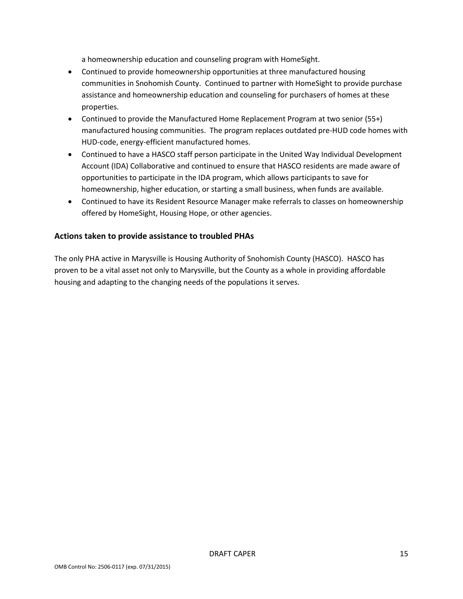a homeownership education and counseling program with HomeSight.

- Continued to provide homeownership opportunities at three manufactured housing communities in Snohomish County. Continued to partner with HomeSight to provide purchase assistance and homeownership education and counseling for purchasers of homes at these properties.
- Continued to provide the Manufactured Home Replacement Program at two senior (55+) manufactured housing communities. The program replaces outdated pre-HUD code homes with HUD-code, energy-efficient manufactured homes.
- Continued to have a HASCO staff person participate in the United Way Individual Development Account (IDA) Collaborative and continued to ensure that HASCO residents are made aware of opportunities to participate in the IDA program, which allows participants to save for homeownership, higher education, or starting a small business, when funds are available.
- Continued to have its Resident Resource Manager make referrals to classes on homeownership offered by HomeSight, Housing Hope, or other agencies.

### **Actions taken to provide assistance to troubled PHAs**

The only PHA active in Marysville is Housing Authority of Snohomish County (HASCO). HASCO has proven to be a vital asset not only to Marysville, but the County as a whole in providing affordable housing and adapting to the changing needs of the populations it serves.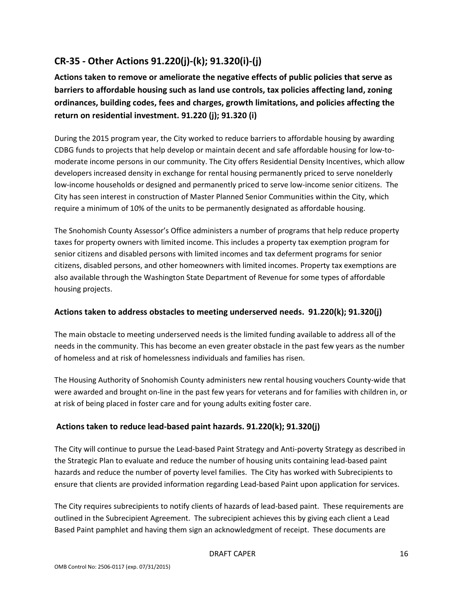# **CR-35 - Other Actions 91.220(j)-(k); 91.320(i)-(j)**

**Actions taken to remove or ameliorate the negative effects of public policies that serve as barriers to affordable housing such as land use controls, tax policies affecting land, zoning ordinances, building codes, fees and charges, growth limitations, and policies affecting the return on residential investment. 91.220 (j); 91.320 (i)**

During the 2015 program year, the City worked to reduce barriers to affordable housing by awarding CDBG funds to projects that help develop or maintain decent and safe affordable housing for low-tomoderate income persons in our community. The City offers Residential Density Incentives, which allow developers increased density in exchange for rental housing permanently priced to serve nonelderly low-income households or designed and permanently priced to serve low-income senior citizens. The City has seen interest in construction of Master Planned Senior Communities within the City, which require a minimum of 10% of the units to be permanently designated as affordable housing.

The Snohomish County Assessor's Office administers a number of programs that help reduce property taxes for property owners with limited income. This includes a property tax exemption program for senior citizens and disabled persons with limited incomes and tax deferment programs for senior citizens, disabled persons, and other homeowners with limited incomes. Property tax exemptions are also available through the Washington State Department of Revenue for some types of affordable housing projects.

### **Actions taken to address obstacles to meeting underserved needs. 91.220(k); 91.320(j)**

The main obstacle to meeting underserved needs is the limited funding available to address all of the needs in the community. This has become an even greater obstacle in the past few years as the number of homeless and at risk of homelessness individuals and families has risen.

The Housing Authority of Snohomish County administers new rental housing vouchers County-wide that were awarded and brought on-line in the past few years for veterans and for families with children in, or at risk of being placed in foster care and for young adults exiting foster care.

### **Actions taken to reduce lead-based paint hazards. 91.220(k); 91.320(j)**

The City will continue to pursue the Lead-based Paint Strategy and Anti-poverty Strategy as described in the Strategic Plan to evaluate and reduce the number of housing units containing lead-based paint hazards and reduce the number of poverty level families. The City has worked with Subrecipients to ensure that clients are provided information regarding Lead-based Paint upon application for services.

The City requires subrecipients to notify clients of hazards of lead-based paint. These requirements are outlined in the Subrecipient Agreement. The subrecipient achieves this by giving each client a Lead Based Paint pamphlet and having them sign an acknowledgment of receipt. These documents are

#### DRAFT CAPER 16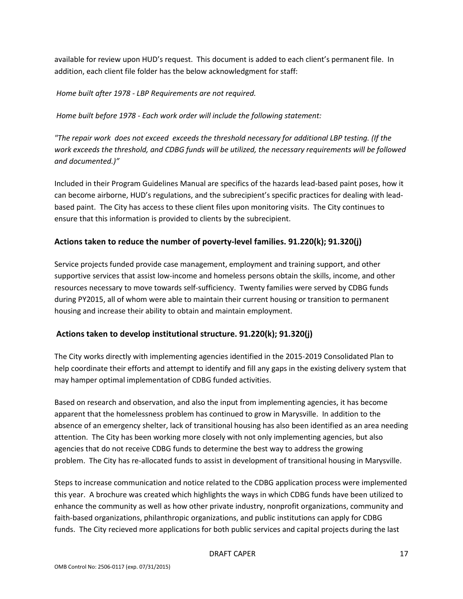available for review upon HUD's request. This document is added to each client's permanent file. In addition, each client file folder has the below acknowledgment for staff:

*Home built after 1978 - LBP Requirements are not required.*

*Home built before 1978 - Each work order will include the following statement:*

*"The repair work does not exceed exceeds the threshold necessary for additional LBP testing. (If the work exceeds the threshold, and CDBG funds will be utilized, the necessary requirements will be followed and documented.)"*

Included in their Program Guidelines Manual are specifics of the hazards lead-based paint poses, how it can become airborne, HUD's regulations, and the subrecipient's specific practices for dealing with leadbased paint. The City has access to these client files upon monitoring visits. The City continues to ensure that this information is provided to clients by the subrecipient.

### **Actions taken to reduce the number of poverty-level families. 91.220(k); 91.320(j)**

Service projects funded provide case management, employment and training support, and other supportive services that assist low-income and homeless persons obtain the skills, income, and other resources necessary to move towards self-sufficiency. Twenty families were served by CDBG funds during PY2015, all of whom were able to maintain their current housing or transition to permanent housing and increase their ability to obtain and maintain employment.

### **Actions taken to develop institutional structure. 91.220(k); 91.320(j)**

The City works directly with implementing agencies identified in the 2015-2019 Consolidated Plan to help coordinate their efforts and attempt to identify and fill any gaps in the existing delivery system that may hamper optimal implementation of CDBG funded activities.

Based on research and observation, and also the input from implementing agencies, it has become apparent that the homelessness problem has continued to grow in Marysville. In addition to the absence of an emergency shelter, lack of transitional housing has also been identified as an area needing attention. The City has been working more closely with not only implementing agencies, but also agencies that do not receive CDBG funds to determine the best way to address the growing problem. The City has re-allocated funds to assist in development of transitional housing in Marysville.

Steps to increase communication and notice related to the CDBG application process were implemented this year. A brochure was created which highlights the ways in which CDBG funds have been utilized to enhance the community as well as how other private industry, nonprofit organizations, community and faith-based organizations, philanthropic organizations, and public institutions can apply for CDBG funds. The City recieved more applications for both public services and capital projects during the last

#### DRAFT CAPER 17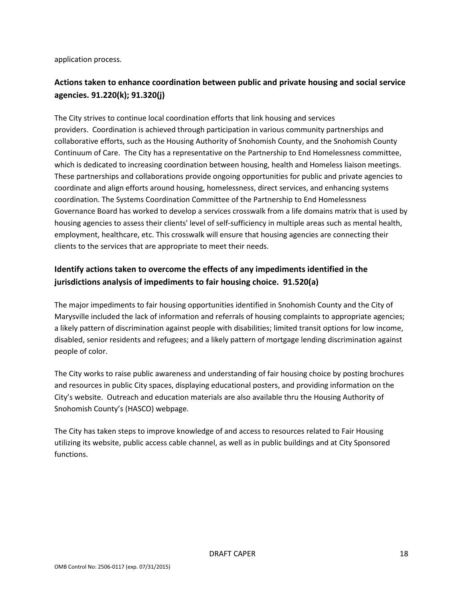application process.

## **Actions taken to enhance coordination between public and private housing and social service agencies. 91.220(k); 91.320(j)**

The City strives to continue local coordination efforts that link housing and services providers. Coordination is achieved through participation in various community partnerships and collaborative efforts, such as the Housing Authority of Snohomish County, and the Snohomish County Continuum of Care. The City has a representative on the Partnership to End Homelessness committee, which is dedicated to increasing coordination between housing, health and Homeless liaison meetings. These partnerships and collaborations provide ongoing opportunities for public and private agencies to coordinate and align efforts around housing, homelessness, direct services, and enhancing systems coordination. The Systems Coordination Committee of the Partnership to End Homelessness Governance Board has worked to develop a services crosswalk from a life domains matrix that is used by housing agencies to assess their clients' level of self-sufficiency in multiple areas such as mental health, employment, healthcare, etc. This crosswalk will ensure that housing agencies are connecting their clients to the services that are appropriate to meet their needs.

## **Identify actions taken to overcome the effects of any impediments identified in the jurisdictions analysis of impediments to fair housing choice. 91.520(a)**

The major impediments to fair housing opportunities identified in Snohomish County and the City of Marysville included the lack of information and referrals of housing complaints to appropriate agencies; a likely pattern of discrimination against people with disabilities; limited transit options for low income, disabled, senior residents and refugees; and a likely pattern of mortgage lending discrimination against people of color.

The City works to raise public awareness and understanding of fair housing choice by posting brochures and resources in public City spaces, displaying educational posters, and providing information on the City's website. Outreach and education materials are also available thru the Housing Authority of Snohomish County's (HASCO) webpage.

The City has taken steps to improve knowledge of and access to resources related to Fair Housing utilizing its website, public access cable channel, as well as in public buildings and at City Sponsored functions.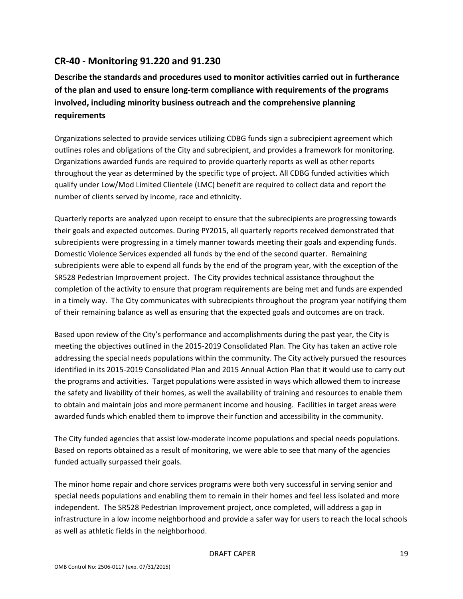## **CR-40 - Monitoring 91.220 and 91.230**

**Describe the standards and procedures used to monitor activities carried out in furtherance of the plan and used to ensure long-term compliance with requirements of the programs involved, including minority business outreach and the comprehensive planning requirements**

Organizations selected to provide services utilizing CDBG funds sign a subrecipient agreement which outlines roles and obligations of the City and subrecipient, and provides a framework for monitoring. Organizations awarded funds are required to provide quarterly reports as well as other reports throughout the year as determined by the specific type of project. All CDBG funded activities which qualify under Low/Mod Limited Clientele (LMC) benefit are required to collect data and report the number of clients served by income, race and ethnicity.

Quarterly reports are analyzed upon receipt to ensure that the subrecipients are progressing towards their goals and expected outcomes. During PY2015, all quarterly reports received demonstrated that subrecipients were progressing in a timely manner towards meeting their goals and expending funds. Domestic Violence Services expended all funds by the end of the second quarter. Remaining subrecipients were able to expend all funds by the end of the program year, with the exception of the SR528 Pedestrian Improvement project. The City provides technical assistance throughout the completion of the activity to ensure that program requirements are being met and funds are expended in a timely way. The City communicates with subrecipients throughout the program year notifying them of their remaining balance as well as ensuring that the expected goals and outcomes are on track.

Based upon review of the City's performance and accomplishments during the past year, the City is meeting the objectives outlined in the 2015-2019 Consolidated Plan. The City has taken an active role addressing the special needs populations within the community. The City actively pursued the resources identified in its 2015-2019 Consolidated Plan and 2015 Annual Action Plan that it would use to carry out the programs and activities. Target populations were assisted in ways which allowed them to increase the safety and livability of their homes, as well the availability of training and resources to enable them to obtain and maintain jobs and more permanent income and housing. Facilities in target areas were awarded funds which enabled them to improve their function and accessibility in the community.

The City funded agencies that assist low-moderate income populations and special needs populations. Based on reports obtained as a result of monitoring, we were able to see that many of the agencies funded actually surpassed their goals.

The minor home repair and chore services programs were both very successful in serving senior and special needs populations and enabling them to remain in their homes and feel less isolated and more independent. The SR528 Pedestrian Improvement project, once completed, will address a gap in infrastructure in a low income neighborhood and provide a safer way for users to reach the local schools as well as athletic fields in the neighborhood.

#### DRAFT CAPER 19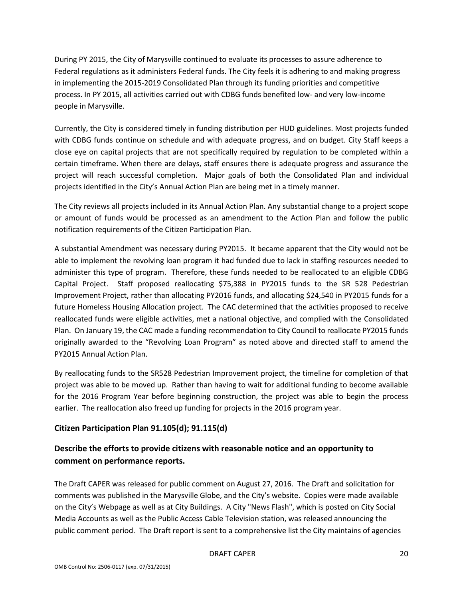During PY 2015, the City of Marysville continued to evaluate its processes to assure adherence to Federal regulations as it administers Federal funds. The City feels it is adhering to and making progress in implementing the 2015-2019 Consolidated Plan through its funding priorities and competitive process. In PY 2015, all activities carried out with CDBG funds benefited low- and very low-income people in Marysville.

Currently, the City is considered timely in funding distribution per HUD guidelines. Most projects funded with CDBG funds continue on schedule and with adequate progress, and on budget. City Staff keeps a close eye on capital projects that are not specifically required by regulation to be completed within a certain timeframe. When there are delays, staff ensures there is adequate progress and assurance the project will reach successful completion. Major goals of both the Consolidated Plan and individual projects identified in the City's Annual Action Plan are being met in a timely manner.

The City reviews all projects included in its Annual Action Plan. Any substantial change to a project scope or amount of funds would be processed as an amendment to the Action Plan and follow the public notification requirements of the Citizen Participation Plan.

A substantial Amendment was necessary during PY2015. It became apparent that the City would not be able to implement the revolving loan program it had funded due to lack in staffing resources needed to administer this type of program. Therefore, these funds needed to be reallocated to an eligible CDBG Capital Project. Staff proposed reallocating \$75,388 in PY2015 funds to the SR 528 Pedestrian Improvement Project, rather than allocating PY2016 funds, and allocating \$24,540 in PY2015 funds for a future Homeless Housing Allocation project. The CAC determined that the activities proposed to receive reallocated funds were eligible activities, met a national objective, and complied with the Consolidated Plan. On January 19, the CAC made a funding recommendation to City Council to reallocate PY2015 funds originally awarded to the "Revolving Loan Program" as noted above and directed staff to amend the PY2015 Annual Action Plan.

By reallocating funds to the SR528 Pedestrian Improvement project, the timeline for completion of that project was able to be moved up. Rather than having to wait for additional funding to become available for the 2016 Program Year before beginning construction, the project was able to begin the process earlier. The reallocation also freed up funding for projects in the 2016 program year.

### **Citizen Participation Plan 91.105(d); 91.115(d)**

## **Describe the efforts to provide citizens with reasonable notice and an opportunity to comment on performance reports.**

The Draft CAPER was released for public comment on August 27, 2016. The Draft and solicitation for comments was published in the Marysville Globe, and the City's website. Copies were made available on the City's Webpage as well as at City Buildings. A City "News Flash", which is posted on City Social Media Accounts as well as the Public Access Cable Television station, was released announcing the public comment period. The Draft report is sent to a comprehensive list the City maintains of agencies

#### DRAFT CAPER 20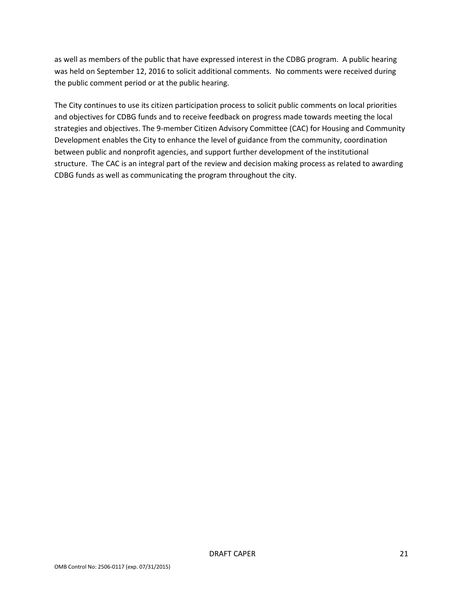as well as members of the public that have expressed interest in the CDBG program. A public hearing was held on September 12, 2016 to solicit additional comments. No comments were received during the public comment period or at the public hearing.

The City continues to use its citizen participation process to solicit public comments on local priorities and objectives for CDBG funds and to receive feedback on progress made towards meeting the local strategies and objectives. The 9-member Citizen Advisory Committee (CAC) for Housing and Community Development enables the City to enhance the level of guidance from the community, coordination between public and nonprofit agencies, and support further development of the institutional structure. The CAC is an integral part of the review and decision making process as related to awarding CDBG funds as well as communicating the program throughout the city.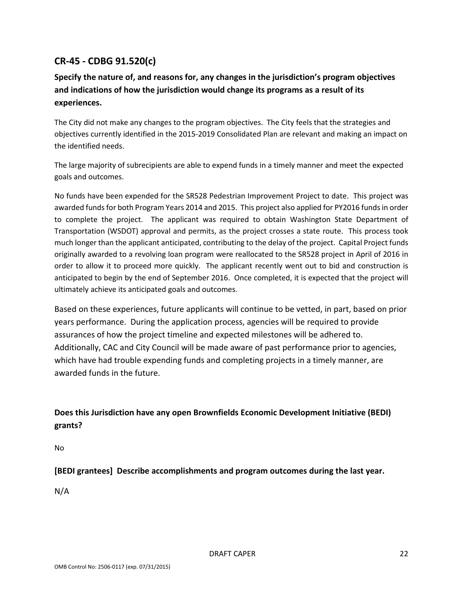## **CR-45 - CDBG 91.520(c)**

## **Specify the nature of, and reasons for, any changes in the jurisdiction's program objectives and indications of how the jurisdiction would change its programs as a result of its experiences.**

The City did not make any changes to the program objectives. The City feels that the strategies and objectives currently identified in the 2015-2019 Consolidated Plan are relevant and making an impact on the identified needs.

The large majority of subrecipients are able to expend funds in a timely manner and meet the expected goals and outcomes.

No funds have been expended for the SR528 Pedestrian Improvement Project to date. This project was awarded funds for both Program Years 2014 and 2015. This project also applied for PY2016 funds in order to complete the project. The applicant was required to obtain Washington State Department of Transportation (WSDOT) approval and permits, as the project crosses a state route. This process took much longer than the applicant anticipated, contributing to the delay of the project. Capital Project funds originally awarded to a revolving loan program were reallocated to the SR528 project in April of 2016 in order to allow it to proceed more quickly. The applicant recently went out to bid and construction is anticipated to begin by the end of September 2016. Once completed, it is expected that the project will ultimately achieve its anticipated goals and outcomes.

Based on these experiences, future applicants will continue to be vetted, in part, based on prior years performance. During the application process, agencies will be required to provide assurances of how the project timeline and expected milestones will be adhered to. Additionally, CAC and City Council will be made aware of past performance prior to agencies, which have had trouble expending funds and completing projects in a timely manner, are awarded funds in the future.

**Does this Jurisdiction have any open Brownfields Economic Development Initiative (BEDI) grants?**

No

**[BEDI grantees] Describe accomplishments and program outcomes during the last year.**

N/A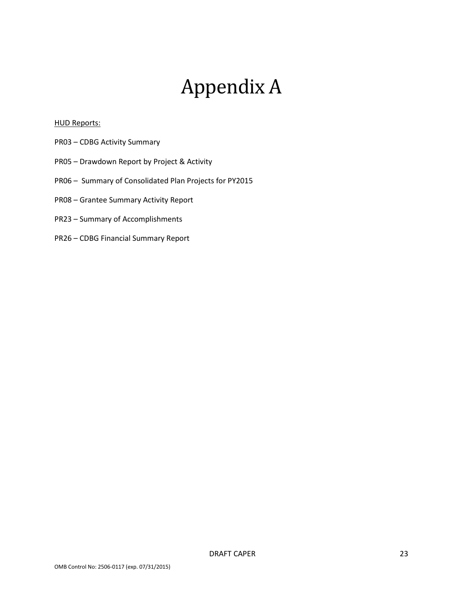# Appendix A

#### **HUD Reports:**

- PR03 CDBG Activity Summary
- PR05 Drawdown Report by Project & Activity
- PR06 Summary of Consolidated Plan Projects for PY2015
- PR08 Grantee Summary Activity Report
- PR23 Summary of Accomplishments
- PR26 CDBG Financial Summary Report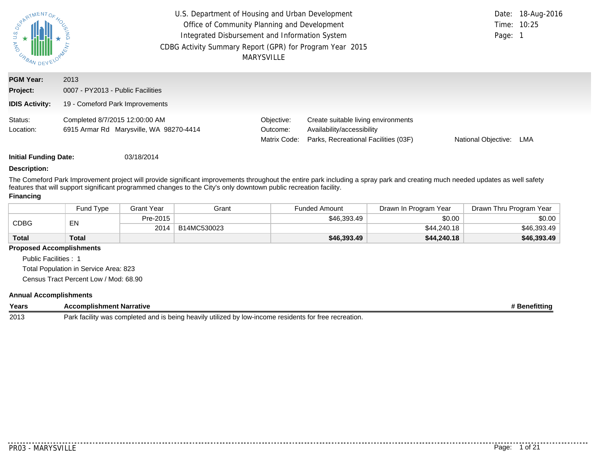| PARTMENTOR<br>$rac{a}{b}$<br><b>MAG</b><br>URBAN | U.S. Department of Housing and Urban Development<br>Office of Community Planning and Development<br>Integrated Disbursement and Information System<br>CDBG Activity Summary Report (GPR) for Program Year 2015<br><b>MARYSVILLE</b> |                                        |                                                                                                           |                     |     |
|--------------------------------------------------|-------------------------------------------------------------------------------------------------------------------------------------------------------------------------------------------------------------------------------------|----------------------------------------|-----------------------------------------------------------------------------------------------------------|---------------------|-----|
| <b>PGM Year:</b><br>Project:                     | 2013<br>0007 - PY2013 - Public Facilities                                                                                                                                                                                           |                                        |                                                                                                           |                     |     |
| <b>IDIS Activity:</b>                            | 19 - Comeford Park Improvements                                                                                                                                                                                                     |                                        |                                                                                                           |                     |     |
| Status:<br>Location:                             | Completed 8/7/2015 12:00:00 AM<br>6915 Armar Rd Marysville, WA 98270-4414                                                                                                                                                           | Objective:<br>Outcome:<br>Matrix Code: | Create suitable living environments<br>Availability/accessibility<br>Parks, Recreational Facilities (03F) | National Objective: | LMA |

#### **Description:**

The Comeford Park Improvement project will provide significant improvements throughout the entire park including a spray park and creating much needed updates as well safety features that will support significant programmed changes to the City's only downtown public recreation facility.

#### **Financing**

|              | Fund Type | Grant Year | Grant       | <b>Funded Amount</b> | Drawn In Program Year | Drawn Thru Program Year |
|--------------|-----------|------------|-------------|----------------------|-----------------------|-------------------------|
| <b>CDBG</b>  | EN        | Pre-2015   |             | \$46,393.49          | \$0.00                | \$0.00                  |
|              |           | 2014       | B14MC530023 |                      | \$44,240.18           | \$46,393.49             |
| <b>Total</b> | Total     |            |             | \$46,393.49          | \$44,240.18           | \$46,393.49             |

#### **Proposed Accomplishments**

Public Facilities : 1

Total Population in Service Area: 823

Census Tract Percent Low / Mod: 68.90

#### **Annual Accomplishments**

| Years | <b>Narrative</b><br>ent                                                                                                                     | 'enefittin. |
|-------|---------------------------------------------------------------------------------------------------------------------------------------------|-------------|
| 2013  | -income<br>Park<br>itilized by<br>recreation.<br>residents<br>is beina.<br>⊺low-.<br>tacılıtv<br>1000<br>completed<br>heavily<br>anc<br>wa: |             |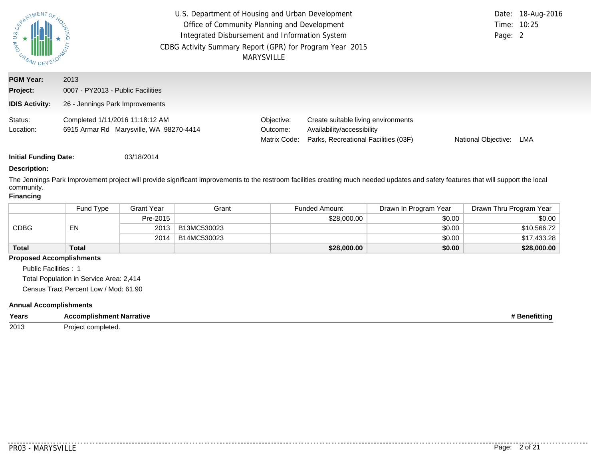| <b>ANY U.S.</b><br>URBAN DEV | U.S. Department of Housing and Urban Development<br>Office of Community Planning and Development<br>Integrated Disbursement and Information System<br>CDBG Activity Summary Report (GPR) for Program Year 2015<br>MARYSVILLE | Page: 2                                | Date: 18-Aug-2016<br>Time: 10:25                                                                          |                     |     |
|------------------------------|------------------------------------------------------------------------------------------------------------------------------------------------------------------------------------------------------------------------------|----------------------------------------|-----------------------------------------------------------------------------------------------------------|---------------------|-----|
| <b>PGM Year:</b><br>Project: | 2013<br>0007 - PY2013 - Public Facilities                                                                                                                                                                                    |                                        |                                                                                                           |                     |     |
| <b>IDIS Activity:</b>        | 26 - Jennings Park Improvements                                                                                                                                                                                              |                                        |                                                                                                           |                     |     |
| Status:<br>Location:         | Completed 1/11/2016 11:18:12 AM<br>6915 Armar Rd Marysville, WA 98270-4414                                                                                                                                                   | Objective:<br>Outcome:<br>Matrix Code: | Create suitable living environments<br>Availability/accessibility<br>Parks, Recreational Facilities (03F) | National Objective: | LMA |

#### **Description:**

The Jennings Park Improvement project will provide significant improvements to the restroom facilities creating much needed updates and safety features that will support the local community.

#### **Financing**

|              | Fund Type    | Grant Year | Grant       | <b>Funded Amount</b> | Drawn In Program Year | Drawn Thru Program Year |
|--------------|--------------|------------|-------------|----------------------|-----------------------|-------------------------|
| CDBG         |              | Pre-2015   |             | \$28,000.00          | \$0.00                | \$0.00                  |
|              | EN           | 2013       | B13MC530023 |                      | \$0.00                | \$10.566.72             |
|              |              | 2014       | B14MC530023 |                      | \$0.00                | \$17.433.28             |
| <b>Total</b> | <b>Total</b> |            |             | \$28,000.00          | \$0.00                | \$28,000.00             |

#### **Proposed Accomplishments**

Public Facilities : 1

Total Population in Service Area: 2,414

Census Tract Percent Low / Mod: 61.90

#### **Annual Accomplishments**

| Years | Accomplishment Narrative | าefittina |
|-------|--------------------------|-----------|
| 2013  | completea.<br>Proiect    |           |

. . . . . . .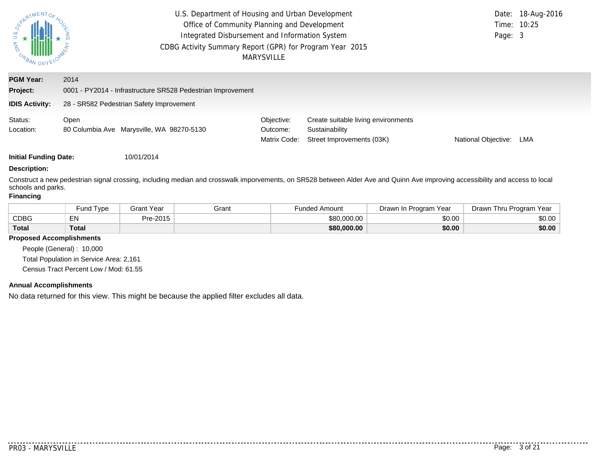| <b>ONY U.S.</b><br>URBAN DEV                          | U.S. Department of Housing and Urban Development<br>Office of Community Planning and Development<br>Integrated Disbursement and Information System<br>CDBG Activity Summary Report (GPR) for Program Year 2015<br>MARYSVILLE | Time: 10:25<br>Page: 3                 | Date: 18-Aug-2016                                                                  |                     |     |
|-------------------------------------------------------|------------------------------------------------------------------------------------------------------------------------------------------------------------------------------------------------------------------------------|----------------------------------------|------------------------------------------------------------------------------------|---------------------|-----|
| <b>PGM Year:</b><br>Project:<br><b>IDIS Activity:</b> | 2014<br>0001 - PY2014 - Infrastructure SR528 Pedestrian Improvement<br>28 - SR582 Pedestrian Safety Improvement                                                                                                              |                                        |                                                                                    |                     |     |
| Status:<br>Location:                                  | Open<br>80 Columbia Ave Marysville, WA 98270-5130                                                                                                                                                                            | Objective:<br>Outcome:<br>Matrix Code: | Create suitable living environments<br>Sustainability<br>Street Improvements (03K) | National Objective: | LMA |

#### **Description:**

Construct a new pedestrian signal crossing, including median and crosswalk imporvements, on SR528 between Alder Ave and Quinn Ave improving accessibility and access to local schools and parks.

#### **Financing**

|              | 'Type<br>ūnd | Grant Year | Grant | Funded Amount | Drawn In Program Year | Drawn Thru Program Year |
|--------------|--------------|------------|-------|---------------|-----------------------|-------------------------|
| <b>CDBG</b>  | - N<br>ᇊ     | Pre-2015   |       | \$80,000.00   | \$0.00                | \$0.00                  |
| <b>Total</b> | <b>Total</b> |            |       | \$80,000.00   | \$0.00                | \$0.00                  |

#### **Proposed Accomplishments**

People (General) : 10,000 Total Population in Service Area: 2,161 Census Tract Percent Low / Mod: 61.55

#### **Annual Accomplishments**

No data returned for this view. This might be because the applied filter excludes all data.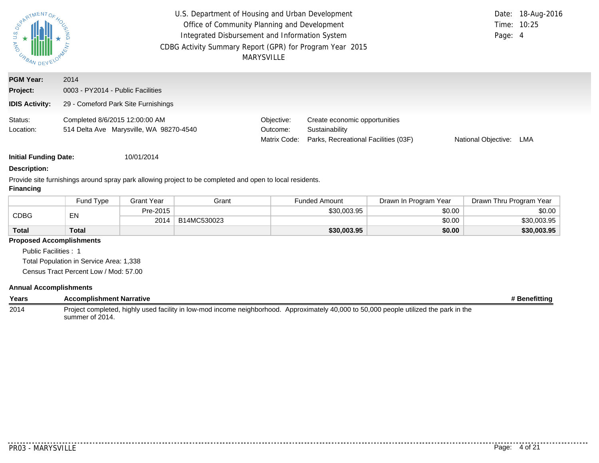| $\begin{array}{c}\n\downarrow \\ \downarrow \\ \downarrow \\ \downarrow \\ \hline\n\end{array}$ | U.S. Department of Housing and Urban Development<br>Office of Community Planning and Development<br>Integrated Disbursement and Information System<br>CDBG Activity Summary Report (GPR) for Program Year 2015<br><b>MARYSVILLE</b> | Page: 4                                | Date: 18-Aug-2016<br>Time: 10:25                                                        |                     |     |
|-------------------------------------------------------------------------------------------------|-------------------------------------------------------------------------------------------------------------------------------------------------------------------------------------------------------------------------------------|----------------------------------------|-----------------------------------------------------------------------------------------|---------------------|-----|
| <b>PGM Year:</b><br>Project:                                                                    | 2014<br>0003 - PY2014 - Public Facilities                                                                                                                                                                                           |                                        |                                                                                         |                     |     |
| <b>IDIS Activity:</b>                                                                           | 29 - Comeford Park Site Furnishings                                                                                                                                                                                                 |                                        |                                                                                         |                     |     |
| Status:<br>Location:                                                                            | Completed 8/6/2015 12:00:00 AM<br>514 Delta Ave Marysville, WA 98270-4540                                                                                                                                                           | Objective:<br>Outcome:<br>Matrix Code: | Create economic opportunities<br>Sustainability<br>Parks, Recreational Facilities (03F) | National Objective: | LMA |

#### **Description:**

Provide site furnishings around spray park allowing project to be completed and open to local residents.

#### **Financing**

|              | Fund Tvpe    | <b>Grant Year</b> | Grant       | <b>Funded Amount</b> | Drawn In Program Year | Drawn Thru Program Year |
|--------------|--------------|-------------------|-------------|----------------------|-----------------------|-------------------------|
| <b>CDBG</b>  | EN           | Pre-2015          |             | \$30,003.95          | \$0.00                | \$0.00                  |
|              |              | 2014              | B14MC530023 |                      | \$0.00                | \$30,003.95             |
| <b>Total</b> | <b>Total</b> |                   |             | \$30,003.95          | \$0.00                | \$30,003.95             |

#### **Proposed Accomplishments**

Public Facilities : 1 Total Population in Service Area: 1,338

Census Tract Percent Low / Mod: 57.00

#### **Annual Accomplishments**

| Years | Accomplishment Narrative                                                                                                                                  | <b>* Benefitting</b> |
|-------|-----------------------------------------------------------------------------------------------------------------------------------------------------------|----------------------|
| 2014  | Project completed, highly used facility in low-mod income neighborhood. Approximately 40,000 to 50,000 people utilized the park in the<br>summer of 2014. |                      |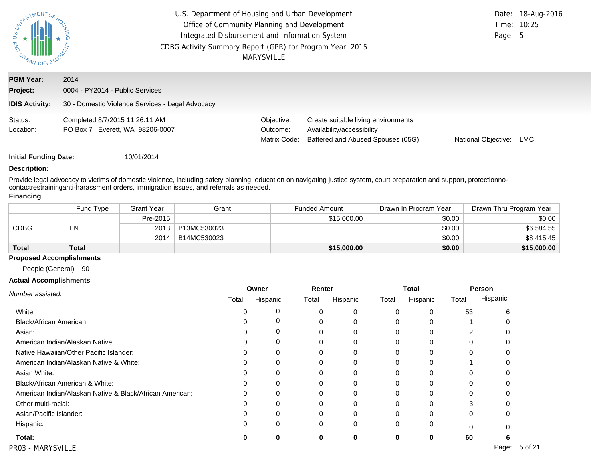| <b>ONY U.S.</b><br>URBAN DEV | U.S. Department of Housing and Urban Development<br>Date: 18-Aug-2016<br>Office of Community Planning and Development<br>Integrated Disbursement and Information System<br>Page: 5<br>CDBG Activity Summary Report (GPR) for Program Year 2015<br>MARYSVILLE |                                        |                                                                                                        |                     |     |  |
|------------------------------|--------------------------------------------------------------------------------------------------------------------------------------------------------------------------------------------------------------------------------------------------------------|----------------------------------------|--------------------------------------------------------------------------------------------------------|---------------------|-----|--|
| <b>PGM Year:</b><br>Project: | 2014<br>0004 - PY2014 - Public Services                                                                                                                                                                                                                      |                                        |                                                                                                        |                     |     |  |
| <b>IDIS Activity:</b>        | 30 - Domestic Violence Services - Legal Advocacy                                                                                                                                                                                                             |                                        |                                                                                                        |                     |     |  |
| Status:<br>Location:         | Completed 8/7/2015 11:26:11 AM<br>PO Box 7 Everett, WA 98206-0007                                                                                                                                                                                            | Objective:<br>Outcome:<br>Matrix Code: | Create suitable living environments<br>Availability/accessibility<br>Battered and Abused Spouses (05G) | National Objective: | LMC |  |

#### **Description:**

Provide legal advocacy to victims of domestic violence, including safety planning, education on navigating justice system, court preparation and support, protectionnocontactrestraininganti-harassment orders, immigration issues, and referrals as needed.

#### **Financing**

|              | Fund Type | Grant Year | Grant       | <b>Funded Amount</b> | Drawn In Program Year | Drawn Thru Program Year |
|--------------|-----------|------------|-------------|----------------------|-----------------------|-------------------------|
|              |           | Pre-2015   |             | \$15,000.00          | \$0.00                | \$0.00                  |
| CDBG         | EN        | 2013       | B13MC530023 |                      | \$0.00                | \$6,584.55              |
|              |           | 2014       | B14MC530023 |                      | \$0.00                | \$8,415.45              |
| <b>Total</b> | Total     |            |             | \$15,000.00          | \$0.00                | \$15,000.00             |

#### **Proposed Accomplishments**

People (General) : 90

#### **Actual Accomplishments**

|                                                          |       | Owner    | Renter   |          |       | <b>Total</b> |          | Person        |
|----------------------------------------------------------|-------|----------|----------|----------|-------|--------------|----------|---------------|
| Number assisted:                                         | Total | Hispanic | Total    | Hispanic | Total | Hispanic     | Total    | Hispanic      |
| White:                                                   |       | 0        |          | 0        |       | 0            | 53       |               |
| Black/African American:                                  |       | 0        |          | 0        |       | 0            |          |               |
| Asian:                                                   |       | 0        |          | $\Omega$ |       | 0            |          |               |
| American Indian/Alaskan Native:                          |       | 0        |          | 0        |       | 0            |          |               |
| Native Hawaiian/Other Pacific Islander:                  |       | 0        | 0        | 0        |       | 0            | 0        |               |
| American Indian/Alaskan Native & White:                  |       | 0        | 0        | $\Omega$ |       | 0            |          |               |
| Asian White:                                             |       | $\Omega$ |          | $\Omega$ |       | 0            |          |               |
| Black/African American & White:                          |       | 0        | 0        | 0        |       | 0            |          |               |
| American Indian/Alaskan Native & Black/African American: |       | 0        |          | 0        |       | 0            |          |               |
| Other multi-racial:                                      |       | $\Omega$ |          | $\Omega$ |       | 0            |          |               |
| Asian/Pacific Islander:                                  |       | 0        |          | 0        |       | 0            | 0        |               |
| Hispanic:                                                |       | $\Omega$ | $\Omega$ | 0        | 0     | 0            | $\Omega$ |               |
| Total:                                                   |       |          |          | O        |       | ŋ            | 60       |               |
| PR03 - MARYSVILLE                                        |       |          |          |          |       |              |          | Page: 5 of 21 |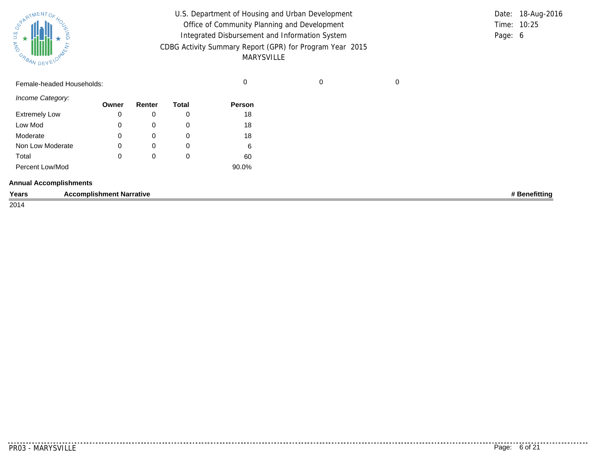| Sycamore ATMENTOS<br>෬<br>ANA<br><b>CABAN DEVELOY</b> |                                 | U.S. Department of Housing and Urban Development<br>Office of Community Planning and Development<br>Integrated Disbursement and Information System<br>CDBG Activity Summary Report (GPR) for Program Year 2015<br><b>MARYSVILLE</b> |              |        |             |             |               |
|-------------------------------------------------------|---------------------------------|-------------------------------------------------------------------------------------------------------------------------------------------------------------------------------------------------------------------------------------|--------------|--------|-------------|-------------|---------------|
| Female-headed Households:                             |                                 |                                                                                                                                                                                                                                     |              | 0      | $\mathbf 0$ | $\mathbf 0$ |               |
| Income Category:                                      | Owner                           | Renter                                                                                                                                                                                                                              | <b>Total</b> | Person |             |             |               |
| <b>Extremely Low</b>                                  | 0                               | 0                                                                                                                                                                                                                                   | 0            | 18     |             |             |               |
| Low Mod                                               | 0                               | $\mathbf 0$                                                                                                                                                                                                                         | 0            | 18     |             |             |               |
| Moderate                                              | 0                               | 0                                                                                                                                                                                                                                   | 0            | 18     |             |             |               |
| Non Low Moderate                                      | 0                               | $\mathbf 0$                                                                                                                                                                                                                         | 0            | 6      |             |             |               |
| Total                                                 | 0                               | 0                                                                                                                                                                                                                                   | 0            | 60     |             |             |               |
| Percent Low/Mod                                       |                                 |                                                                                                                                                                                                                                     |              | 90.0%  |             |             |               |
| <b>Annual Accomplishments</b>                         |                                 |                                                                                                                                                                                                                                     |              |        |             |             |               |
| Years                                                 | <b>Accomplishment Narrative</b> |                                                                                                                                                                                                                                     |              |        |             |             | # Benefitting |
| 2014                                                  |                                 |                                                                                                                                                                                                                                     |              |        |             |             |               |

. . . . . . . . . . . . .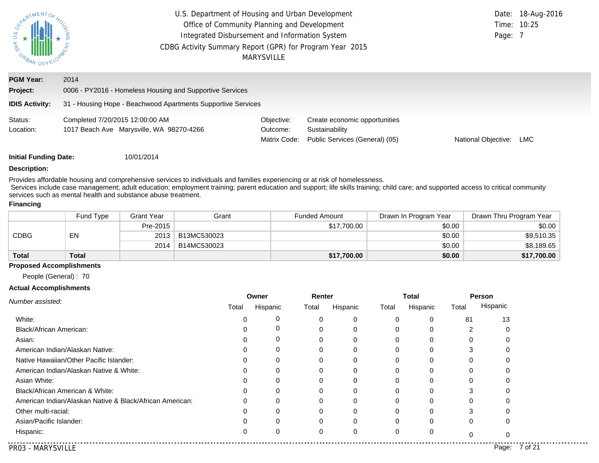| PATMENTOF<br><b>AND</b><br>URBAN DEV | U.S. Department of Housing and Urban Development<br>Office of Community Planning and Development<br>Integrated Disbursement and Information System<br>CDBG Activity Summary Report (GPR) for Program Year 2015 | <b>MARYSVILLE</b>                      |                                                                                   | Page: 7             | Date: 18-Aug-2016<br>Time: 10:25 |
|--------------------------------------|----------------------------------------------------------------------------------------------------------------------------------------------------------------------------------------------------------------|----------------------------------------|-----------------------------------------------------------------------------------|---------------------|----------------------------------|
| <b>PGM Year:</b><br>Project:         | 2014<br>0006 - PY2016 - Homeless Housing and Supportive Services                                                                                                                                               |                                        |                                                                                   |                     |                                  |
| <b>IDIS Activity:</b>                | 31 - Housing Hope - Beachwood Apartments Supportive Services                                                                                                                                                   |                                        |                                                                                   |                     |                                  |
| Status:<br>Location:                 | Completed 7/20/2015 12:00:00 AM<br>1017 Beach Ave Marysville, WA 98270-4266                                                                                                                                    | Objective:<br>Outcome:<br>Matrix Code: | Create economic opportunities<br>Sustainability<br>Public Services (General) (05) | National Objective: | LMC                              |
| <b>Initial Funding Date:</b>         | 10/01/2014                                                                                                                                                                                                     |                                        |                                                                                   |                     |                                  |

#### **Description:**

Provides affordable housing and comprehensive services to individuals and families experiencing or at risk of homelessness.

Services include case management; adult education; employment training; parent education and support; life skills training; child care; and supported access to critical community services such as mental health and substance abuse treatment.

#### **Financing**

|                   | Fund Type | Grant Year | Grant       | <b>Funded Amount</b> | Drawn In Program Year | Drawn Thru Program Year |
|-------------------|-----------|------------|-------------|----------------------|-----------------------|-------------------------|
| <b>CDBG</b><br>EN |           | Pre-2015   |             | \$17,700.00          | \$0.00                | \$0.00                  |
|                   |           | 2013       | B13MC530023 |                      | \$0.00                | \$9,510.35              |
|                   |           | 2014       | B14MC530023 |                      | \$0.00                | \$8,189.65              |
| <b>Total</b>      | Total     |            |             | \$17,700.00          | \$0.00                | \$17,700.00             |

#### **Proposed Accomplishments**

People (General) : 70

#### **Actual Accomplishments**

|                                                          | Owner |          | Renter |          |       | Total    |       | <b>Person</b>    |
|----------------------------------------------------------|-------|----------|--------|----------|-------|----------|-------|------------------|
| Number assisted:                                         | Total | Hispanic | Total  | Hispanic | Total | Hispanic | Total | Hispanic         |
| White:                                                   |       |          |        | $\Omega$ | 0     |          | 81    | 13               |
| Black/African American:                                  |       |          |        | $\Omega$ |       |          |       |                  |
| Asian:                                                   |       |          | ი      | $\Omega$ | 0     |          | 0     |                  |
| American Indian/Alaskan Native:                          |       |          |        |          |       |          |       |                  |
| Native Hawaiian/Other Pacific Islander:                  |       |          |        | 0        |       |          | 0     |                  |
| American Indian/Alaskan Native & White:                  |       |          |        | $\Omega$ | 0     | O        |       |                  |
| Asian White:                                             |       |          |        |          |       |          | O     |                  |
| Black/African American & White:                          |       |          | ი      | $\Omega$ | 0     | $\Omega$ | 3     |                  |
| American Indian/Alaskan Native & Black/African American: |       |          |        | $\Omega$ |       |          |       |                  |
| Other multi-racial:                                      |       |          | 0      | $\Omega$ | 0     | $\Omega$ | 3     |                  |
| Asian/Pacific Islander:                                  |       |          |        | $\Omega$ |       |          | 0     |                  |
| Hispanic:                                                | 0     |          | 0      | $\Omega$ | 0     | 0        | ŋ     |                  |
| PRO3 - MARYSVILLE                                        |       |          |        |          |       |          |       | 7 of 21<br>Page: |

. . . . . . . . . . . . .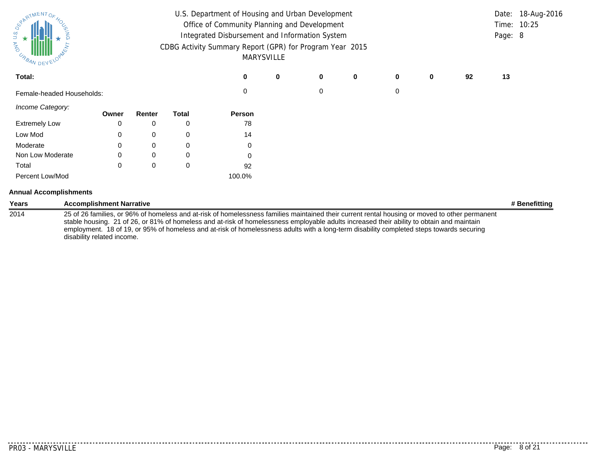| SPARTMENTOS<br>U.S.<br>★<br>ANA<br>USAN DEVY |                                 |          |              | U.S. Department of Housing and Urban Development<br>Office of Community Planning and Development<br>Integrated Disbursement and Information System<br>CDBG Activity Summary Report (GPR) for Program Year 2015<br>MARYSVILLE |   |   |             |   |   |    | Page: 8 | Date: 18-Aug-2016<br>Time: 10:25 |
|----------------------------------------------|---------------------------------|----------|--------------|------------------------------------------------------------------------------------------------------------------------------------------------------------------------------------------------------------------------------|---|---|-------------|---|---|----|---------|----------------------------------|
| Total:                                       |                                 |          |              | 0                                                                                                                                                                                                                            | 0 | 0 | $\mathbf 0$ | 0 | 0 | 92 | 13      |                                  |
| Female-headed Households:                    |                                 |          |              | 0                                                                                                                                                                                                                            |   | 0 |             | 0 |   |    |         |                                  |
| Income Category:                             | Owner                           | Renter   | <b>Total</b> | Person                                                                                                                                                                                                                       |   |   |             |   |   |    |         |                                  |
| <b>Extremely Low</b>                         |                                 | 0        | 0            | 78                                                                                                                                                                                                                           |   |   |             |   |   |    |         |                                  |
| Low Mod                                      | 0                               | 0        | 0            | 14                                                                                                                                                                                                                           |   |   |             |   |   |    |         |                                  |
| Moderate                                     |                                 | 0        | 0            | 0                                                                                                                                                                                                                            |   |   |             |   |   |    |         |                                  |
| Non Low Moderate                             |                                 | $\Omega$ | 0            | 0                                                                                                                                                                                                                            |   |   |             |   |   |    |         |                                  |
| Total                                        | $\Omega$                        | 0        | 0            | 92                                                                                                                                                                                                                           |   |   |             |   |   |    |         |                                  |
| Percent Low/Mod                              |                                 |          |              | 100.0%                                                                                                                                                                                                                       |   |   |             |   |   |    |         |                                  |
| <b>Annual Accomplishments</b>                |                                 |          |              |                                                                                                                                                                                                                              |   |   |             |   |   |    |         |                                  |
| Years                                        | <b>Accomplishment Narrative</b> |          |              |                                                                                                                                                                                                                              |   |   |             |   |   |    |         | # Benefitting                    |
| 2014                                         |                                 |          |              | 25 of 26 families, or 96% of homeless and at-risk of homelessness families maintained their current rental housing or moved to other permanent                                                                               |   |   |             |   |   |    |         |                                  |

2014 25 of 26 families, or 96% of homeless and at-risk of homelessness families maintained their current rental housing or moved to other permanent stable housing. 21 of 26, or 81% of homeless and at-risk of homelessness employable adults increased their ability to obtain and maintain employment. 18 of 19, or 95% of homeless and at-risk of homelessness adults with a long-term disability completed steps towards securing disability related income.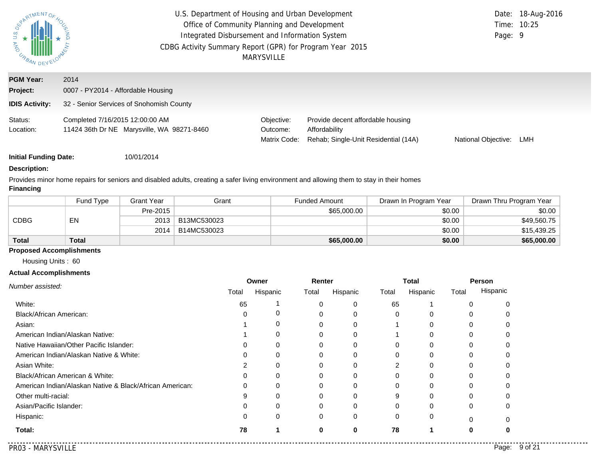| <b>ASSANDEY</b>              | U.S. Department of Housing and Urban Development<br>Office of Community Planning and Development<br>Integrated Disbursement and Information System<br>CDBG Activity Summary Report (GPR) for Program Year 2015<br>MARYSVILLE | Page: 9                                | Date: 18-Aug-2016<br>Time: 10:25                                                           |                     |     |
|------------------------------|------------------------------------------------------------------------------------------------------------------------------------------------------------------------------------------------------------------------------|----------------------------------------|--------------------------------------------------------------------------------------------|---------------------|-----|
| <b>PGM Year:</b><br>Project: | 2014<br>0007 - PY2014 - Affordable Housing                                                                                                                                                                                   |                                        |                                                                                            |                     |     |
| <b>IDIS Activity:</b>        | 32 - Senior Services of Snohomish County                                                                                                                                                                                     |                                        |                                                                                            |                     |     |
| Status:<br>Location:         | Completed 7/16/2015 12:00:00 AM<br>11424 36th Dr NE Marysville, WA 98271-8460                                                                                                                                                | Objective:<br>Outcome:<br>Matrix Code: | Provide decent affordable housing<br>Affordability<br>Rehab: Single-Unit Residential (14A) | National Objective: | LMH |

#### **Description:**

Provides minor home repairs for seniors and disabled adults, creating a safer living environment and allowing them to stay in their homes **Financing**

|              | Fund Type    | Grant Year | Grant       | <b>Funded Amount</b> | Drawn In Program Year | Drawn Thru Program Year |
|--------------|--------------|------------|-------------|----------------------|-----------------------|-------------------------|
| CDBG         |              | Pre-2015   |             | \$65,000.00          | \$0.00                | \$0.00                  |
|              | EN           | 2013       | B13MC530023 |                      | \$0.00                | \$49,560.75             |
|              |              | 2014       | B14MC530023 |                      | \$0.00                | \$15,439.25             |
| <b>Total</b> | <b>Total</b> |            |             | \$65,000.00          | \$0.00                | \$65,000.00             |

#### **Proposed Accomplishments**

Housing Units : 60

#### **Actual Accomplishments**

|    |          |          | Renter   |       | <b>Total</b> |       | Person   |  |
|----|----------|----------|----------|-------|--------------|-------|----------|--|
|    | Hispanic | Total    | Hispanic | Total | Hispanic     | Total | Hispanic |  |
| 65 |          |          | $\Omega$ | 65    |              |       |          |  |
|    |          |          | 0        |       |              |       |          |  |
|    |          | ∩        | $\Omega$ |       |              |       |          |  |
|    |          | $\Omega$ | 0        |       |              |       |          |  |
|    | 0        | 0        | $\Omega$ |       |              |       |          |  |
|    |          |          | $\Omega$ |       |              |       |          |  |
|    |          |          | 0        |       |              |       |          |  |
|    | 0        | 0        | 0        |       |              |       |          |  |
|    |          | 0        | $\Omega$ |       |              |       |          |  |
|    |          |          | $\Omega$ |       |              |       |          |  |
|    |          |          | $\Omega$ |       |              |       |          |  |
|    | 0        | $\Omega$ | 0        |       |              |       |          |  |
| 78 |          | 0        | $\bf{0}$ | 78    |              | 0     |          |  |
|    | Total    |          |          |       |              |       |          |  |

 $\sim$   $\sim$   $\sim$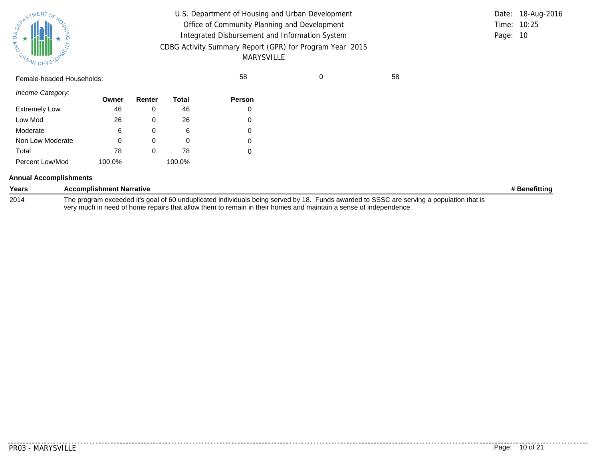| ATMENTOR<br>స్<br>AND<br><b>CABAN DEVEL</b> |        |        |              | U.S. Department of Housing and Urban Development<br>Office of Community Planning and Development<br>Integrated Disbursement and Information System<br>CDBG Activity Summary Report (GPR) for Program Year 2015<br><b>MARYSVILLE</b> |   | Date: 18-Aug-2016<br>10:25<br>Time:<br>Page: 10 |  |
|---------------------------------------------|--------|--------|--------------|-------------------------------------------------------------------------------------------------------------------------------------------------------------------------------------------------------------------------------------|---|-------------------------------------------------|--|
| Female-headed Households:                   |        |        |              | 58                                                                                                                                                                                                                                  | 0 | 58                                              |  |
| Income Category:                            | Owner  | Renter | <b>Total</b> | Person                                                                                                                                                                                                                              |   |                                                 |  |
| <b>Extremely Low</b>                        | 46     | 0      | 46           | 0                                                                                                                                                                                                                                   |   |                                                 |  |
| Low Mod                                     | 26     | 0      | 26           | 0                                                                                                                                                                                                                                   |   |                                                 |  |
| Moderate                                    | 6      | 0      | 6            | 0                                                                                                                                                                                                                                   |   |                                                 |  |
| Non Low Moderate                            | 0      | 0      | 0            | 0                                                                                                                                                                                                                                   |   |                                                 |  |
| Total                                       | 78     | 0      | 78           | 0                                                                                                                                                                                                                                   |   |                                                 |  |
| Percent Low/Mod                             | 100.0% |        | 100.0%       |                                                                                                                                                                                                                                     |   |                                                 |  |

|  | <b>Annual Accomplishments</b> |
|--|-------------------------------|
|--|-------------------------------|

| Years | <b>Accomplishment Narrative</b>                                                                                                          | # Benefitting |
|-------|------------------------------------------------------------------------------------------------------------------------------------------|---------------|
| 2014  | The program exceeded it's goal of 60 unduplicated individuals being served by 18. Funds awarded to SSSC are serving a population that is |               |
|       | very much in need of home repairs that allow them to remain in their homes and maintain a sense of independence.                         |               |

<u>. . . . . . .</u>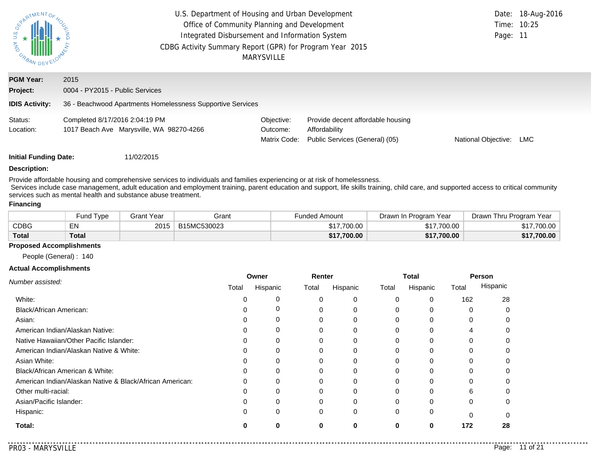| $\frac{1}{2}$<br>URBAN DEV          | U.S. Department of Housing and Urban Development<br>Office of Community Planning and Development<br>Integrated Disbursement and Information System<br>CDBG Activity Summary Report (GPR) for Program Year 2015 | <b>MARYSVILLE</b>                      |                                                                                      | Page: 11            | Date: 18-Aug-2016<br>Time: 10:25 |
|-------------------------------------|----------------------------------------------------------------------------------------------------------------------------------------------------------------------------------------------------------------|----------------------------------------|--------------------------------------------------------------------------------------|---------------------|----------------------------------|
| <b>PGM Year:</b>                    | 2015                                                                                                                                                                                                           |                                        |                                                                                      |                     |                                  |
| Project:                            | 0004 - PY2015 - Public Services                                                                                                                                                                                |                                        |                                                                                      |                     |                                  |
| <b>IDIS Activity:</b>               | 36 - Beachwood Apartments Homelessness Supportive Services                                                                                                                                                     |                                        |                                                                                      |                     |                                  |
| Status:<br>Location:                | Completed 8/17/2016 2:04:19 PM<br>1017 Beach Ave Marysville, WA 98270-4266                                                                                                                                     | Objective:<br>Outcome:<br>Matrix Code: | Provide decent affordable housing<br>Affordability<br>Public Services (General) (05) | National Objective: | LMC                              |
| <b>Induced From Almost Distance</b> | 11000001F                                                                                                                                                                                                      |                                        |                                                                                      |                     |                                  |

#### **Description:**

Provide affordable housing and comprehensive services to individuals and families experiencing or at risk of homelessness.

Services include case management, adult education and employment training, parent education and support, life skills training, child care, and supported access to critical community services such as mental health and substance abuse treatment.

#### **Financing**

|              | Fund Type | Grant Year<br>Grant |             | Funded Amount | Drawn In Program Year | Drawn Thru Program Year |  |
|--------------|-----------|---------------------|-------------|---------------|-----------------------|-------------------------|--|
| <b>CDBG</b>  | EN        | 2015                | B15MC530023 | \$17,700.00   | \$17,700.00           | \$17,700.00             |  |
| <b>Total</b> | Total     |                     |             | \$17,700.00   | \$17,700.00           | \$17,700.00             |  |

#### **Proposed Accomplishments**

People (General) : 140

#### **Actual Accomplishments**

|                                                          |       | Owner    | Renter |          | Total        |          | Person |          |
|----------------------------------------------------------|-------|----------|--------|----------|--------------|----------|--------|----------|
| Number assisted:                                         | Total | Hispanic | Total  | Hispanic | Total        | Hispanic | Total  | Hispanic |
| White:                                                   |       | 0        | 0      | 0        | 0            | 0        | 162    | 28       |
| <b>Black/African American:</b>                           |       | 0        |        | $\Omega$ | $\Omega$     | 0        |        |          |
| Asian:                                                   |       | $\Omega$ |        |          | $\Omega$     | 0        |        |          |
| American Indian/Alaskan Native:                          |       | 0        |        | 0        | $\Omega$     | 0        | 4      |          |
| Native Hawaiian/Other Pacific Islander:                  |       | 0        |        |          | 0            |          | O      |          |
| American Indian/Alaskan Native & White:                  |       | 0        |        |          | 0            |          |        |          |
| Asian White:                                             |       | 0        |        | $\Omega$ | $\Omega$     | $\Omega$ | 0      |          |
| Black/African American & White:                          |       | $\Omega$ |        |          | 0            |          |        |          |
| American Indian/Alaskan Native & Black/African American: | 0     | 0        |        | 0        | $\Omega$     |          | 0      |          |
| Other multi-racial:                                      |       | $\Omega$ |        | $\Omega$ | $\Omega$     | $\Omega$ | 6      |          |
| Asian/Pacific Islander:                                  |       | $\Omega$ |        |          | <sup>0</sup> |          | 0      |          |
| Hispanic:                                                |       | $\Omega$ | 0      | $\Omega$ | $\Omega$     | 0        | 0      |          |
| Total:                                                   | O     | O        | ŋ      | 0        | $\bf{0}$     | 0        | 172    | 28       |

. . . . . . . . . . . .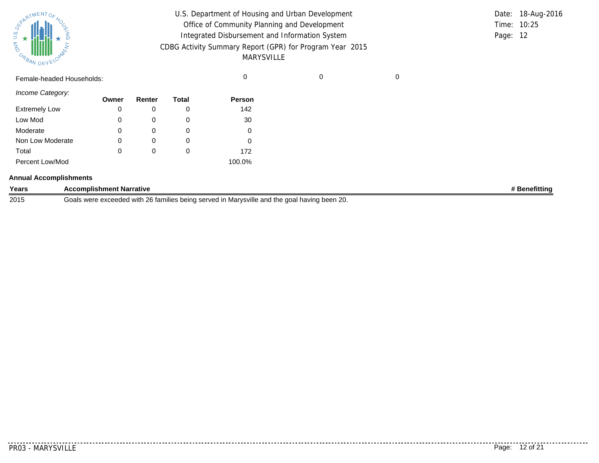| $\frac{1}{2}$ $\star$ $\frac{1}{2}$<br><b>AND</b><br><b>CABAN DEVEL</b> | U.S. Department of Housing and Urban Development<br>Office of Community Planning and Development<br>Integrated Disbursement and Information System<br>CDBG Activity Summary Report (GPR) for Program Year 2015<br>MARYSVILLE |  | Time: 10:25<br>Page: 12 | Date: 18-Aug-2016 |
|-------------------------------------------------------------------------|------------------------------------------------------------------------------------------------------------------------------------------------------------------------------------------------------------------------------|--|-------------------------|-------------------|
| Female-headed Households:                                               |                                                                                                                                                                                                                              |  |                         |                   |

| Income Category:     |       |        |       |               |
|----------------------|-------|--------|-------|---------------|
|                      | Owner | Renter | Total | <b>Person</b> |
| <b>Extremely Low</b> | 0     |        | 0     | 142           |
| Low Mod              | 0     | 0      | O     | 30            |
| Moderate             | 0     | 0      | 0     | 0             |
| Non Low Moderate     | 0     | 0      | 0     | 0             |
| Total                | 0     | 0      | 0     | 172           |
| Percent Low/Mod      |       |        |       | 100.0%        |

#### **Annual Accomplishments**

| Years | <b>Accomplishment Narrative</b>                                                                                               | nefittinc؛ |
|-------|-------------------------------------------------------------------------------------------------------------------------------|------------|
| 2015  | $\sim$<br>e doal having been 20.<br>and the<br>d with 26 families being served in Marysville<br>exceeded :<br>Goals :<br>were |            |

 $\frac{1}{2}$ 

. . . . . . . . . . .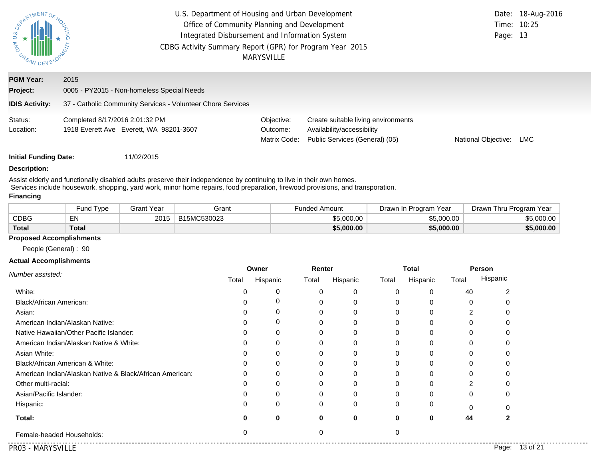| <b>SPARTMENTOF</b><br><b>SIDARBAN</b>                 | U.S. Department of Housing and Urban Development<br>Office of Community Planning and Development<br>Integrated Disbursement and Information System<br>CDBG Activity Summary Report (GPR) for Program Year 2015 | <b>MARYSVILLE</b>                      |                                                                                                     | Time: 10:25<br>Page: 13 | Date: 18-Aug-2016 |
|-------------------------------------------------------|----------------------------------------------------------------------------------------------------------------------------------------------------------------------------------------------------------------|----------------------------------------|-----------------------------------------------------------------------------------------------------|-------------------------|-------------------|
| <b>PGM Year:</b><br>Project:<br><b>IDIS Activity:</b> | 2015<br>0005 - PY2015 - Non-homeless Special Needs<br>37 - Catholic Community Services - Volunteer Chore Services                                                                                              |                                        |                                                                                                     |                         |                   |
| Status:<br>Location:                                  | Completed 8/17/2016 2:01:32 PM<br>1918 Everett Ave Everett, WA 98201-3607                                                                                                                                      | Objective:<br>Outcome:<br>Matrix Code: | Create suitable living environments<br>Availability/accessibility<br>Public Services (General) (05) | National Objective:     | LMC               |
| <b>Initial Funding Date:</b>                          | 11/02/2015                                                                                                                                                                                                     |                                        |                                                                                                     |                         |                   |

#### **Description:**

Assist elderly and functionally disabled adults preserve their independence by continuing to live in their own homes. Services include housework, shopping, yard work, minor home repairs, food preparation, firewood provisions, and transporation.

#### **Financing**

|              | und Type <sup>-</sup> | Grant Year | Grant       | Funded Amount | Drawn In Program Year | Drawn Thru Program Year |
|--------------|-----------------------|------------|-------------|---------------|-----------------------|-------------------------|
| CDBG         | <u>— кі</u><br>ᄃᄓ     | 2015       | B15MC530023 | \$5,000.00    | \$5,000.00            | \$5.000.00              |
| <b>Total</b> | Total                 |            |             | \$5,000.00    | \$5,000.00            | \$5,000.00              |

#### **Proposed Accomplishments**

People (General) : 90

#### **Actual Accomplishments**

| Number assisted:                                         | Owner |          | Renter |          | <b>Total</b> |          |          | Person            |
|----------------------------------------------------------|-------|----------|--------|----------|--------------|----------|----------|-------------------|
|                                                          | Total | Hispanic | Total  | Hispanic | Total        | Hispanic | Total    | Hispanic          |
| White:                                                   |       | 0        |        |          |              | 0        | 40       |                   |
| Black/African American:                                  |       |          |        |          |              |          | $\Omega$ |                   |
| Asian:                                                   |       | 0        |        |          |              |          |          |                   |
| American Indian/Alaskan Native:                          |       | 0        |        |          |              |          |          |                   |
| Native Hawaiian/Other Pacific Islander:                  |       |          |        |          |              |          |          |                   |
| American Indian/Alaskan Native & White:                  |       |          |        |          |              |          |          |                   |
| Asian White:                                             |       |          |        |          |              |          |          |                   |
| Black/African American & White:                          |       |          |        |          | 0            | 0        |          |                   |
| American Indian/Alaskan Native & Black/African American: |       |          |        |          | 0            | 0        |          |                   |
| Other multi-racial:                                      |       |          |        |          |              |          |          |                   |
| Asian/Pacific Islander:                                  |       |          |        |          |              | 0        | 0        |                   |
| Hispanic:                                                | 0     | 0        | 0      | 0        | 0            | 0        |          |                   |
| Total:                                                   |       | 0        | 0      | 0        | $\mathbf{0}$ | $\bf{0}$ | 44       |                   |
| Female-headed Households:                                | ∩     |          |        |          |              |          |          |                   |
| PR03 - MARYSVILLE                                        |       |          |        |          |              |          |          | 13 of 21<br>Page: |

. . . . . . . . . . . . .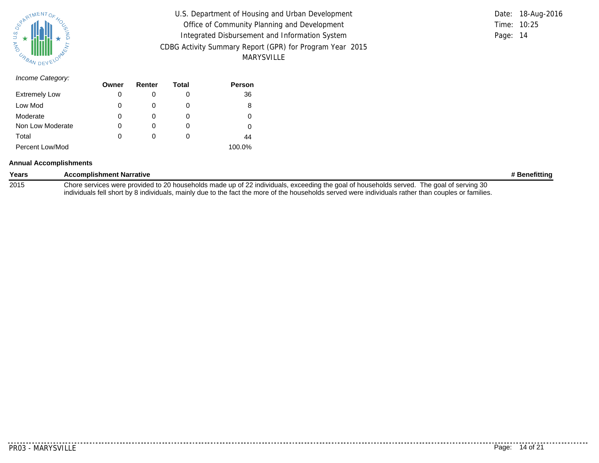

|          | Date: 18-Aug-2016 |
|----------|-------------------|
|          | Time: 10:25       |
| Page: 14 |                   |
|          |                   |
|          |                   |

**Person**

|          | Date: 18-Aug-2016 |
|----------|-------------------|
|          | Time: $10:25$     |
| Page: 14 |                   |

#### *Income Category:*

| <b>Extremely Low</b> | 0 |  | 36     |
|----------------------|---|--|--------|
| Low Mod              | 0 |  | 8      |
| Moderate             | 0 |  |        |
| Non Low Moderate     | 0 |  |        |
| Total                | 0 |  | 44     |
| Percent Low/Mod      |   |  | 100.0% |

**Renter**

**Total**

**Owner**

#### **Annual Accomplishments**

| Years | <b>Accomplishment Narrative</b>                                                                                                                     | # Benefittinq |
|-------|-----------------------------------------------------------------------------------------------------------------------------------------------------|---------------|
| 2015  | Chore services were provided to 20 households made up of 22 individuals, exceeding the goal of households served. The goal of serving 30            |               |
|       | individuals fell short by 8 individuals, mainly due to the fact the more of the households served were individuals rather than couples or families. |               |

PR03 - MARYSVILLE Page: 14 of 21

. . . . . . . . . . . .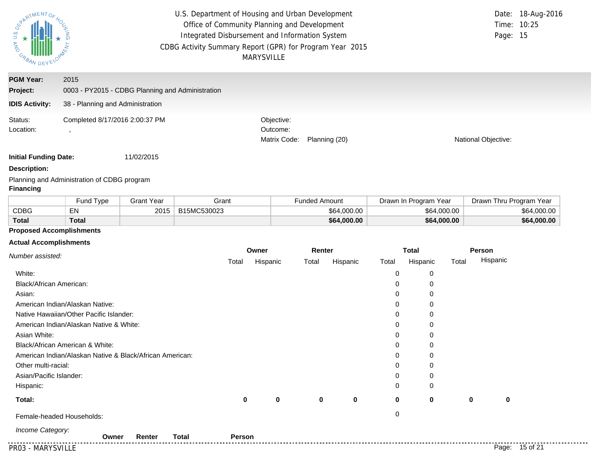| SPARTMENTOF<br>and no<br>URBAN DEV -                  | U.S. Department of Housing and Urban Development<br>Office of Community Planning and Development<br>Integrated Disbursement and Information System<br>CDBG Activity Summary Report (GPR) for Program Year 2015 | <b>MARYSVILLE</b>                      |               | Time: 10:25<br>Page: 15 | Date: 18-Aug-2016 |
|-------------------------------------------------------|----------------------------------------------------------------------------------------------------------------------------------------------------------------------------------------------------------------|----------------------------------------|---------------|-------------------------|-------------------|
| <b>PGM Year:</b><br>Project:<br><b>IDIS Activity:</b> | 2015<br>0003 - PY2015 - CDBG Planning and Administration<br>38 - Planning and Administration                                                                                                                   |                                        |               |                         |                   |
| Status:<br>Location:                                  | Completed 8/17/2016 2:00:37 PM                                                                                                                                                                                 | Objective:<br>Outcome:<br>Matrix Code: | Planning (20) | National Objective:     |                   |
| <b>Initial Funding Date:</b>                          | 11/02/2015                                                                                                                                                                                                     |                                        |               |                         |                   |

#### **Description:**

Planning and Administration of CDBG program **Financing**

|              | Fund Type | 3rant Year | Grant       | Funded Amount | Drawn In Program Year | Drawn Thru Program Year |
|--------------|-----------|------------|-------------|---------------|-----------------------|-------------------------|
| CDBG         | EN        | 2015       | B15MC530023 | \$64,000,00   | \$64,000.00           | \$64,000.00             |
| <b>Total</b> | Total     |            |             | \$64,000.00   | \$64,000.00           | \$64,000.00             |

### **Proposed Accomplishments**

#### **Actual Accomplishments**

|                                                          |             | Owner    |             | Renter      |          | <b>Total</b> |       | Person         |
|----------------------------------------------------------|-------------|----------|-------------|-------------|----------|--------------|-------|----------------|
| Number assisted:                                         | Total       | Hispanic | Total       | Hispanic    | Total    | Hispanic     | Total | Hispanic       |
| White:                                                   |             |          |             |             | 0        | 0            |       |                |
| Black/African American:                                  |             |          |             |             | 0        | 0            |       |                |
| Asian:                                                   |             |          |             |             | $\Omega$ | 0            |       |                |
| American Indian/Alaskan Native:                          |             |          |             |             | 0        | 0            |       |                |
| Native Hawaiian/Other Pacific Islander:                  |             |          |             |             | 0        | 0            |       |                |
| American Indian/Alaskan Native & White:                  |             |          |             |             | 0        | 0            |       |                |
| Asian White:                                             |             |          |             |             | 0        | 0            |       |                |
| Black/African American & White:                          |             |          |             |             | 0        | 0            |       |                |
| American Indian/Alaskan Native & Black/African American: |             |          |             |             | 0        | 0            |       |                |
| Other multi-racial:                                      |             |          |             |             | 0        | $\mathbf 0$  |       |                |
| Asian/Pacific Islander:                                  |             |          |             |             | 0        | 0            |       |                |
| Hispanic:                                                |             |          |             |             | $\Omega$ | 0            |       |                |
| Total:                                                   | $\mathbf 0$ | 0        | $\mathbf 0$ | $\mathbf 0$ | 0        | $\mathbf 0$  | 0     | 0              |
| Female-headed Households:                                |             |          |             |             | 0        |              |       |                |
| Income Category:<br><b>Total</b><br>Renter<br>Owner      | Person      |          |             |             |          |              |       |                |
| PR03 - MARYSVILLE                                        |             |          |             |             |          |              |       | Page: 15 of 21 |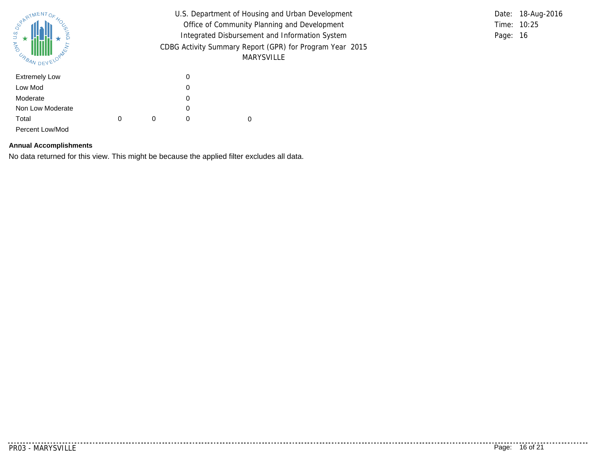| PARTMENTOR<br>U.S. DE<br><b>MAN</b><br>URBAN DEVY                                           |   |   | U.S. Department of Housing and Urban Development<br>Office of Community Planning and Development<br>Integrated Disbursement and Information System<br>CDBG Activity Summary Report (GPR) for Program Year 2015 | Date: 18-Aug-2016<br>Time: 10:25<br>Page: 16 |  |
|---------------------------------------------------------------------------------------------|---|---|----------------------------------------------------------------------------------------------------------------------------------------------------------------------------------------------------------------|----------------------------------------------|--|
| <b>Extremely Low</b><br>Low Mod<br>Moderate<br>Non Low Moderate<br>Total<br>Percent Low/Mod | 0 | 0 | 0<br>0<br>0<br>0<br>0                                                                                                                                                                                          | 0                                            |  |

#### **Annual Accomplishments**

No data returned for this view. This might be because the applied filter excludes all data.

. . . . . . . .

. . . . . . . . . . . .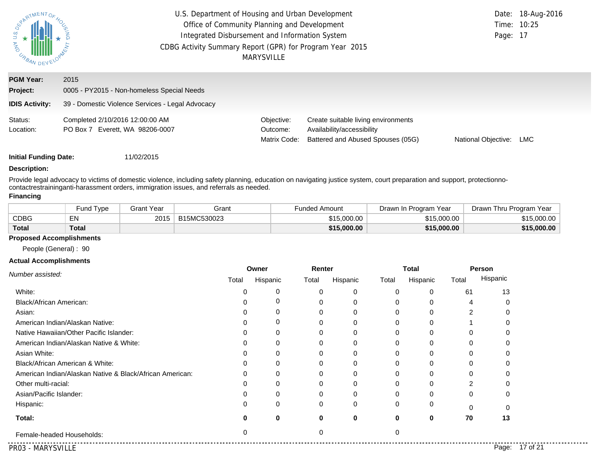| SHAW H<br>URBAN DEV          | U.S. Department of Housing and Urban Development<br>Office of Community Planning and Development<br>Integrated Disbursement and Information System<br>CDBG Activity Summary Report (GPR) for Program Year 2015<br><b>MARYSVILLE</b> | Page: 17                               | Date: 18-Aug-2016<br>Time: 10:25                                                                       |                     |            |
|------------------------------|-------------------------------------------------------------------------------------------------------------------------------------------------------------------------------------------------------------------------------------|----------------------------------------|--------------------------------------------------------------------------------------------------------|---------------------|------------|
| <b>PGM Year:</b><br>Project: | 2015<br>0005 - PY2015 - Non-homeless Special Needs                                                                                                                                                                                  |                                        |                                                                                                        |                     |            |
| <b>IDIS Activity:</b>        | 39 - Domestic Violence Services - Legal Advocacy                                                                                                                                                                                    |                                        |                                                                                                        |                     |            |
| Status:<br>Location:         | Completed 2/10/2016 12:00:00 AM<br>PO Box 7 Everett, WA 98206-0007                                                                                                                                                                  | Objective:<br>Outcome:<br>Matrix Code: | Create suitable living environments<br>Availability/accessibility<br>Battered and Abused Spouses (05G) | National Objective: | <b>LMC</b> |

#### **Description:**

Provide legal advocacy to victims of domestic violence, including safety planning, education on navigating justice system, court preparation and support, protectionnocontactrestraininganti-harassment orders, immigration issues, and referrals as needed.

#### **Financing**

|              | <b>Fund Type</b> | Grant Year | Grant       | Funded Amount | Drawn In Program Year | Drawn Thru Program Year |
|--------------|------------------|------------|-------------|---------------|-----------------------|-------------------------|
| CDBG         | EN               | 2015       | B15MC530023 | \$15,000.00   | \$15,000,00           | \$15.000.00             |
| <b>Total</b> | <b>Total</b>     |            |             | \$15,000.00   | \$15,000.00           | \$15,000.00             |

#### **Proposed Accomplishments**

People (General) : 90

#### **Actual Accomplishments**

|                                                          | Owner |          |          | Renter   |              | <b>Total</b> |                | Person            |
|----------------------------------------------------------|-------|----------|----------|----------|--------------|--------------|----------------|-------------------|
| Number assisted:                                         | Total | Hispanic | Total    | Hispanic | Total        | Hispanic     | Total          | Hispanic          |
| White:                                                   |       | 0        |          |          | 0            | 0            | 61             | 13                |
| Black/African American:                                  |       |          |          |          | 0            | 0            | 4              |                   |
| Asian:                                                   |       |          |          |          | $\Omega$     | 0            | $\overline{2}$ |                   |
| American Indian/Alaskan Native:                          |       | 0        |          | 0        | 0            | 0            |                |                   |
| Native Hawaiian/Other Pacific Islander:                  |       |          | 0        |          | 0            | 0            |                |                   |
| American Indian/Alaskan Native & White:                  |       |          |          |          | <sup>0</sup> |              |                |                   |
| Asian White:                                             |       |          |          |          | ŋ            |              |                |                   |
| Black/African American & White:                          |       |          |          |          | O            |              | 0              |                   |
| American Indian/Alaskan Native & Black/African American: |       |          |          |          |              |              |                |                   |
| Other multi-racial:                                      |       |          |          |          |              |              |                |                   |
| Asian/Pacific Islander:                                  |       |          |          |          | 0            | O            | 0              |                   |
| Hispanic:                                                |       | $\Omega$ | $\Omega$ | $\Omega$ | $\Omega$     | 0            | O              | $\Omega$          |
| Total:                                                   |       | 0        | 0        | 0        | 0            | 0            | 70             | 13                |
| Female-headed Households:                                | 0     |          | 0        |          | 0            |              |                |                   |
| PR03 - MARYSVILLE                                        |       |          |          |          |              |              |                | 17 of 21<br>Page: |

.............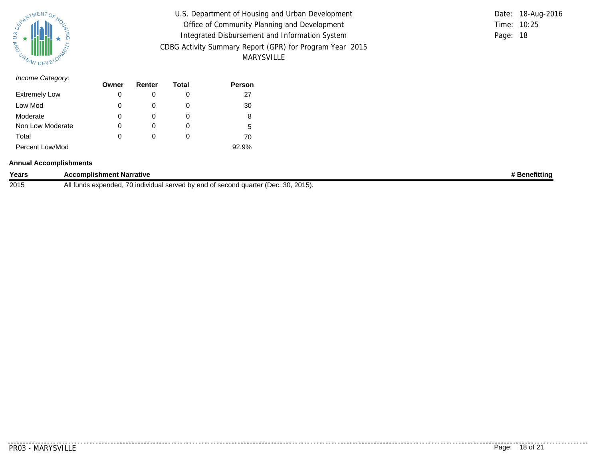

| U.S. Department of Housing and Urban Development         |          | Date: 18-Aug-2016 |
|----------------------------------------------------------|----------|-------------------|
| Office of Community Planning and Development             |          | Time: 10:25       |
| Integrated Disbursement and Information System           | Page: 18 |                   |
| CDBG Activity Summary Report (GPR) for Program Year 2015 |          |                   |
| MARYSVILLE                                               |          |                   |

|             | Date: 18-Aug-2016 |
|-------------|-------------------|
| Time: 10:25 |                   |
| Page: 18    |                   |

#### *Income Category:*

|                      | Owner | Renter | Total | <b>Person</b> |
|----------------------|-------|--------|-------|---------------|
| <b>Extremely Low</b> | 0     |        |       | 27            |
| Low Mod              | 0     |        |       | 30            |
| Moderate             | 0     |        |       | 8             |
| Non Low Moderate     | 0     |        |       | 5             |
| Total                | 0     | 0      | 0     | 70            |
| Percent Low/Mod      |       |        |       | 92.9%         |

#### **Annual Accomplishments**

| Years | <b>Accomplishment Narrative</b>                                                    | * Benefittina |
|-------|------------------------------------------------------------------------------------|---------------|
| 2015  | All funds expended, 70 individual served by end of second quarter (Dec. 30, 2015). |               |

. . . . . . .

...........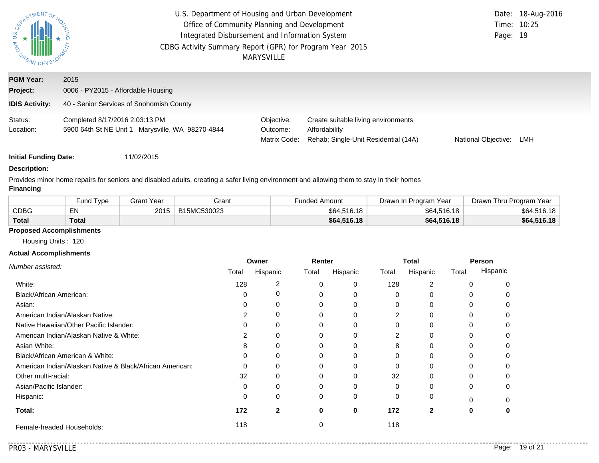| PARTMENTOR<br>$rac{a}{b}$<br><b>AS IN BANDEY</b>      | U.S. Department of Housing and Urban Development<br>Office of Community Planning and Development<br>Integrated Disbursement and Information System<br>CDBG Activity Summary Report (GPR) for Program Year 2015<br><b>MARYSVILLE</b> | Page: 19                               | Date: 18-Aug-2016<br>Time: 10:25                                                             |                     |     |
|-------------------------------------------------------|-------------------------------------------------------------------------------------------------------------------------------------------------------------------------------------------------------------------------------------|----------------------------------------|----------------------------------------------------------------------------------------------|---------------------|-----|
| <b>PGM Year:</b><br>Project:<br><b>IDIS Activity:</b> | 2015<br>0006 - PY2015 - Affordable Housing<br>40 - Senior Services of Snohomish County                                                                                                                                              |                                        |                                                                                              |                     |     |
| Status:<br>Location:                                  | Completed 8/17/2016 2:03:13 PM<br>5900 64th St NE Unit 1 Marysville, WA 98270-4844                                                                                                                                                  | Objective:<br>Outcome:<br>Matrix Code: | Create suitable living environments<br>Affordability<br>Rehab; Single-Unit Residential (14A) | National Objective: | LMH |

## **Description:**

Provides minor home repairs for seniors and disabled adults, creating a safer living environment and allowing them to stay in their homes

#### **Financing**

|              | <b>Fund Type</b> | Grant Year | Grant       | Funded Amount | Drawn In Program Year | Drawn Thru Program Year |
|--------------|------------------|------------|-------------|---------------|-----------------------|-------------------------|
| CDBG         | EN               | 2015       | B15MC530023 | \$64,516.18   | \$64,516.18           | \$64,516.18             |
| <b>Total</b> | <b>Total</b>     |            |             | \$64,516.18   | \$64,516.18           | \$64,516.18             |

#### **Proposed Accomplishments**

Housing Units : 120

#### **Actual Accomplishments**

|                                                          | Owner    |              | Renter |          | <b>Total</b> |          | <b>Person</b> |          |
|----------------------------------------------------------|----------|--------------|--------|----------|--------------|----------|---------------|----------|
| Number assisted:                                         | Total    | Hispanic     | Total  | Hispanic | Total        | Hispanic | Total         | Hispanic |
| White:                                                   | 128      | 2            |        |          | 128          |          |               |          |
| Black/African American:                                  | $\Omega$ |              |        |          | O            |          |               |          |
| Asian:                                                   |          | 0            |        |          |              |          |               |          |
| American Indian/Alaskan Native:                          |          | $\Omega$     |        |          | ◠            |          |               |          |
| Native Hawaiian/Other Pacific Islander:                  |          | $\Omega$     |        |          |              |          |               |          |
| American Indian/Alaskan Native & White:                  |          |              |        |          | 2            |          |               |          |
| Asian White:                                             | 8        |              |        |          | 8            |          |               |          |
| Black/African American & White:                          | 0        | 0            |        |          |              |          |               |          |
| American Indian/Alaskan Native & Black/African American: | ∩        | 0            |        |          |              |          |               |          |
| Other multi-racial:                                      | 32       | O            |        |          | 32           |          |               |          |
| Asian/Pacific Islander:                                  | $\Omega$ |              |        |          |              |          |               |          |
| Hispanic:                                                | $\Omega$ | 0            |        |          |              | 0        |               |          |
| Total:                                                   | 172      | $\mathbf{2}$ | 0      | $\bf{0}$ | 172          |          | 0             |          |
| Female-headed Households:                                | 118      |              |        |          | 118          |          |               |          |

. . . . . . . . . . . .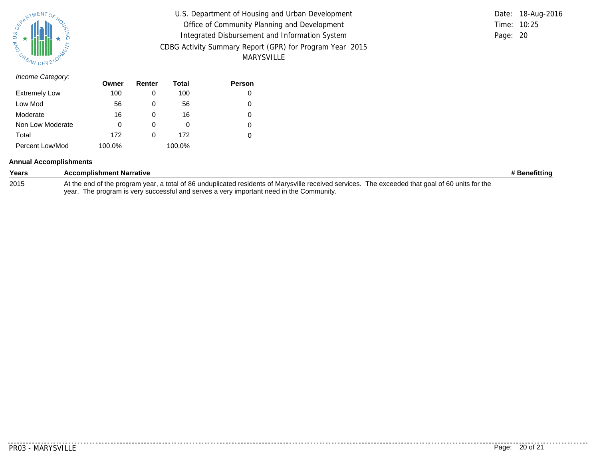

| U.S. Department of Housing and Urban Development         |          | Date: 18-Aug-2016 |
|----------------------------------------------------------|----------|-------------------|
| Office of Community Planning and Development             |          | Time: 10:25       |
| Integrated Disbursement and Information System           | Page: 20 |                   |
| CDBG Activity Summary Report (GPR) for Program Year 2015 |          |                   |
| MARYSVILLE                                               |          |                   |

|               | Date: 18-Aug-2016 |
|---------------|-------------------|
| Time: $10:25$ |                   |
| Page: 20      |                   |

| Income Category:     |        |        |        |        |
|----------------------|--------|--------|--------|--------|
|                      | Owner  | Renter | Total  | Person |
| <b>Extremely Low</b> | 100    | 0      | 100    | 0      |
| Low Mod              | 56     | 0      | 56     | 0      |
| Moderate             | 16     | 0      | 16     | 0      |
| Non Low Moderate     | 0      | 0      | 0      | 0      |
| Total                | 172    | 0      | 172    | 0      |
| Percent Low/Mod      | 100.0% |        | 100.0% |        |

#### **Annual Accomplishments**

| Years | <b>Accomplishment Narrative</b>                                                                                                                  | # Benefitting |
|-------|--------------------------------------------------------------------------------------------------------------------------------------------------|---------------|
| 2015  | At the end of the program year, a total of 86 unduplicated residents of Marysville received services. The exceeded that goal of 60 units for the |               |
|       | year. The program is very successful and serves a very important need in the Community.                                                          |               |

PR03 - MARYSVILLE Page: 20 of 21

. . . . . . . .

...........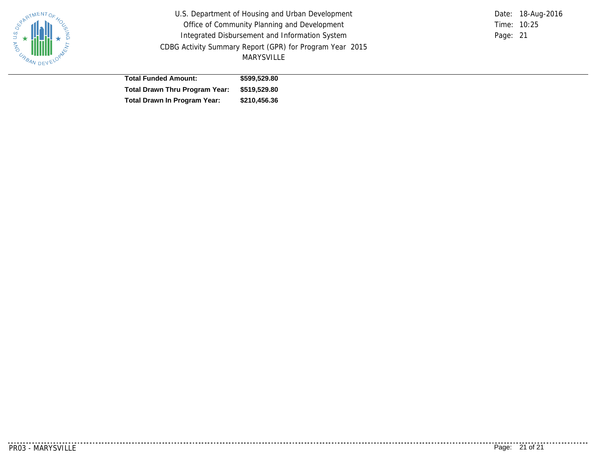

U.S. Department of Housing and Urban Development Office of Community Planning and Development Integrated Disbursement and Information System CDBG Activity Summary Report (GPR) for Program Year 2015 MARYSVILLE

Time: 10:25 Page: 21 Date: 18-Aug-2016

| <b>Total Funded Amount:</b>                 | \$599,529.80 |
|---------------------------------------------|--------------|
| Total Drawn Thru Program Year: \$519,529.80 |              |
| Total Drawn In Program Year:                | \$210,456.36 |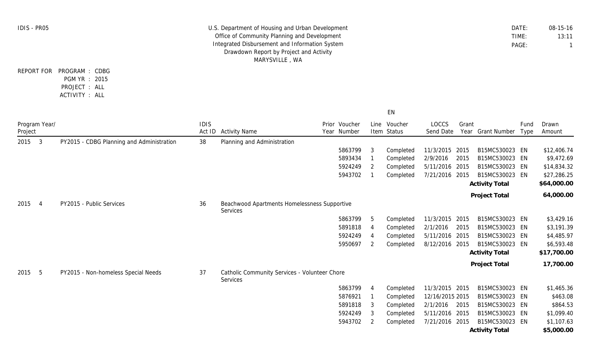| <b>IDIS - PR05</b> |                |                                                                               | U.S. Department of Housing and Urban Development<br>Office of Community Planning and Development<br>Integrated Disbursement and Information System<br>Drawdown Report by Project and Activity<br>MARYSVILLE, WA |                                                           |  |                              |                         |                        |                    |       | DATE:<br>TIME:<br>PAGE:                 | 08-15-16<br>13:11<br>-1 |                            |
|--------------------|----------------|-------------------------------------------------------------------------------|-----------------------------------------------------------------------------------------------------------------------------------------------------------------------------------------------------------------|-----------------------------------------------------------|--|------------------------------|-------------------------|------------------------|--------------------|-------|-----------------------------------------|-------------------------|----------------------------|
|                    |                | REPORT FOR PROGRAM : CDBG<br>PGM YR : 2015<br>PROJECT : ALL<br>ACTIVITY : ALL |                                                                                                                                                                                                                 |                                                           |  |                              |                         |                        |                    |       |                                         |                         |                            |
|                    |                |                                                                               |                                                                                                                                                                                                                 |                                                           |  |                              |                         | EN                     |                    |       |                                         |                         |                            |
| Project            | Program Year/  |                                                                               | <b>IDIS</b><br>Act ID                                                                                                                                                                                           | <b>Activity Name</b>                                      |  | Prior Voucher<br>Year Number | Line                    | Voucher<br>Item Status | LOCCS<br>Send Date | Grant | Year Grant Number                       | Fund<br>Type            | Drawn<br>Amount            |
| 2015               | 3              | PY2015 - CDBG Planning and Administration                                     | 38                                                                                                                                                                                                              | Planning and Administration                               |  |                              |                         |                        |                    |       |                                         |                         |                            |
|                    |                |                                                                               |                                                                                                                                                                                                                 |                                                           |  | 5863799                      | -3                      | Completed              | 11/3/2015 2015     |       | B15MC530023 EN                          |                         | \$12,406.74                |
|                    |                |                                                                               |                                                                                                                                                                                                                 |                                                           |  | 5893434                      |                         | Completed              | 2/9/2016           | 2015  | B15MC530023 EN                          |                         | \$9,472.69                 |
|                    |                |                                                                               |                                                                                                                                                                                                                 |                                                           |  | 5924249                      | 2                       | Completed              | 5/11/2016 2015     |       | B15MC530023 EN                          |                         | \$14,834.32                |
|                    |                |                                                                               |                                                                                                                                                                                                                 |                                                           |  | 5943702                      |                         | Completed              | 7/21/2016 2015     |       | B15MC530023 EN<br><b>Activity Total</b> |                         | \$27,286.25<br>\$64,000.00 |
|                    |                |                                                                               |                                                                                                                                                                                                                 |                                                           |  |                              |                         |                        |                    |       | Project Total                           |                         | 64,000.00                  |
| 2015               | $\overline{4}$ | PY2015 - Public Services                                                      | 36                                                                                                                                                                                                              | Beachwood Apartments Homelessness Supportive<br>Services  |  |                              |                         |                        |                    |       |                                         |                         |                            |
|                    |                |                                                                               |                                                                                                                                                                                                                 |                                                           |  | 5863799                      | -5                      | Completed              | 11/3/2015 2015     |       | B15MC530023 EN                          |                         | \$3,429.16                 |
|                    |                |                                                                               |                                                                                                                                                                                                                 |                                                           |  | 5891818                      | $\overline{4}$          | Completed              | 2/1/2016           | 2015  | B15MC530023 EN                          |                         | \$3,191.39                 |
|                    |                |                                                                               |                                                                                                                                                                                                                 |                                                           |  | 5924249                      | $\overline{A}$          | Completed              | 5/11/2016 2015     |       | B15MC530023 EN                          |                         | \$4,485.97                 |
|                    |                |                                                                               |                                                                                                                                                                                                                 |                                                           |  | 5950697                      | 2                       | Completed              | 8/12/2016 2015     |       | B15MC530023 EN                          |                         | \$6,593.48                 |
|                    |                |                                                                               |                                                                                                                                                                                                                 |                                                           |  |                              |                         |                        |                    |       | <b>Activity Total</b>                   |                         | \$17,700.00                |
|                    |                |                                                                               |                                                                                                                                                                                                                 |                                                           |  |                              |                         |                        |                    |       | Project Total                           |                         | 17,700.00                  |
| 2015               | 5              | PY2015 - Non-homeless Special Needs                                           | 37                                                                                                                                                                                                              | Catholic Community Services - Volunteer Chore<br>Services |  |                              |                         |                        |                    |       |                                         |                         |                            |
|                    |                |                                                                               |                                                                                                                                                                                                                 |                                                           |  | 5863799                      | $\overline{A}$          | Completed              | 11/3/2015 2015     |       | B15MC530023 EN                          |                         | \$1,465.36                 |
|                    |                |                                                                               |                                                                                                                                                                                                                 |                                                           |  | 5876921                      |                         | Completed              | 12/16/2015 2015    |       | B15MC530023 EN                          |                         | \$463.08                   |
|                    |                |                                                                               |                                                                                                                                                                                                                 |                                                           |  | 5891818                      | $\overline{\mathbf{3}}$ | Completed              | 2/1/2016 2015      |       | B15MC530023 EN                          |                         | \$864.53                   |
|                    |                |                                                                               |                                                                                                                                                                                                                 |                                                           |  | 5924249                      | - 3                     | Completed              | 5/11/2016 2015     |       | B15MC530023 EN                          |                         | \$1,099.40                 |
|                    |                |                                                                               |                                                                                                                                                                                                                 |                                                           |  | 5943702                      | 2                       | Completed              | 7/21/2016 2015     |       | B15MC530023 EN                          |                         | \$1,107.63                 |
|                    |                |                                                                               |                                                                                                                                                                                                                 |                                                           |  |                              |                         |                        |                    |       | <b>Activity Total</b>                   |                         | \$5,000.00                 |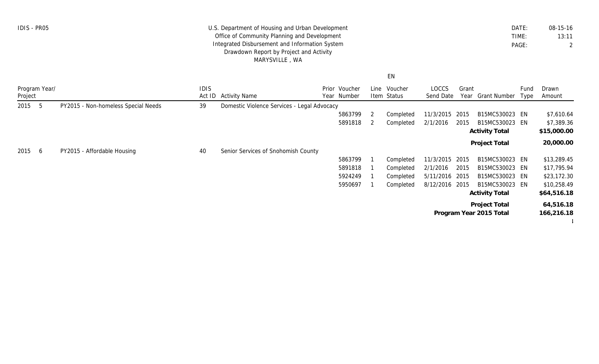| DATF: | $08 - 15 - 16$ |
|-------|----------------|
| TIMF: | 13:11          |
| PAGE: |                |

## U.S. Department of Housing and Urban Development Office of Community Planning and Development Integrated Disbursement and Information System Drawdown Report by Project and Activity MARYSVILLE , WA

IDIS - PR05

EN

| Program Year/<br>Project |    |                                     | <b>IDIS</b><br>Act ID | <b>Activity Name</b>                        | Prior Voucher<br>Year Number | Line | Voucher<br>Item Status | LOCCS<br>Send Date | Grant<br>Year | Grant Number            | Fund<br>Type | Drawn<br>Amount |
|--------------------------|----|-------------------------------------|-----------------------|---------------------------------------------|------------------------------|------|------------------------|--------------------|---------------|-------------------------|--------------|-----------------|
| 2015                     | -5 | PY2015 - Non-homeless Special Needs | 39                    | Domestic Violence Services - Legal Advocacy |                              |      |                        |                    |               |                         |              |                 |
|                          |    |                                     |                       |                                             | 5863799                      | -2   | Completed              | 11/3/2015          | 2015          | B15MC530023 EN          |              | \$7,610.64      |
|                          |    |                                     |                       |                                             | 5891818                      |      | Completed              | 2/1/2016           | 2015          | B15MC530023 EN          |              | \$7,389.36      |
|                          |    |                                     |                       |                                             |                              |      |                        |                    |               | <b>Activity Total</b>   |              | \$15,000.00     |
|                          |    |                                     |                       |                                             |                              |      |                        |                    |               | Project Total           |              | 20,000.00       |
| 2015                     | 6  | PY2015 - Affordable Housing         | 40                    | Senior Services of Snohomish County         |                              |      |                        |                    |               |                         |              |                 |
|                          |    |                                     |                       |                                             | 5863799                      |      | Completed              | 11/3/2015          | 2015          | B15MC530023 EN          |              | \$13,289.45     |
|                          |    |                                     |                       |                                             | 5891818                      |      | Completed              | 2/1/2016           | 2015          | B15MC530023 EN          |              | \$17,795.94     |
|                          |    |                                     |                       |                                             | 5924249                      |      | Completed              | 5/11/2016 2015     |               | B15MC530023 EN          |              | \$23,172.30     |
|                          |    |                                     |                       |                                             | 5950697                      |      | Completed              | 8/12/2016 2015     |               | B15MC530023 EN          |              | \$10,258.49     |
|                          |    |                                     |                       |                                             |                              |      |                        |                    |               | <b>Activity Total</b>   |              | \$64,516.18     |
|                          |    |                                     |                       |                                             |                              |      |                        |                    |               | Project Total           |              | 64,516.18       |
|                          |    |                                     |                       |                                             |                              |      |                        |                    |               | Program Year 2015 Total |              | 166,216.18      |
|                          |    |                                     |                       |                                             |                              |      |                        |                    |               |                         |              | $\frac{1}{2}$   |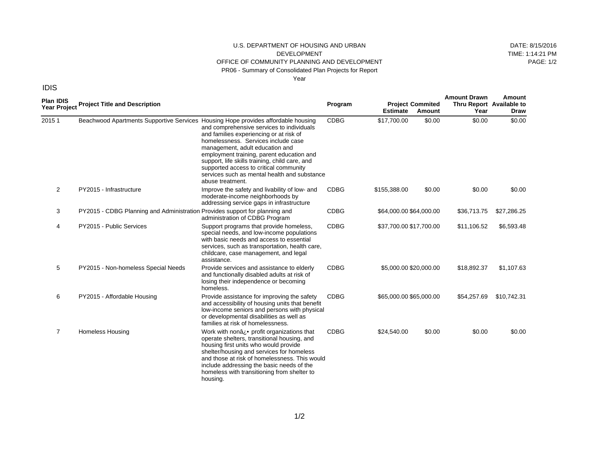#### U.S. DEPARTMENT OF HOUSING AND URBAN DEVELOPMENT OFFICE OF COMMUNITY PLANNING AND DEVELOPMENT PR06 - Summary of Consolidated Plan Projects for Report Year

DATE: 8/15/2016 TIME: 1:14:21 PM PAGE: 1/2

| <b>Plan IDIS</b><br>Year Project | <b>Project Title and Description</b>                                              |                                                                                                                                                                                                                                                                                                                                                                             | Program     | <b>Estimate</b>         | <b>Project Commited</b><br>Amount | <b>Amount Drawn</b><br>Thru Report Available to<br>Year | Amount<br>Draw |
|----------------------------------|-----------------------------------------------------------------------------------|-----------------------------------------------------------------------------------------------------------------------------------------------------------------------------------------------------------------------------------------------------------------------------------------------------------------------------------------------------------------------------|-------------|-------------------------|-----------------------------------|---------------------------------------------------------|----------------|
| 20151                            | Beachwood Apartments Supportive Services Housing Hope provides affordable housing | and comprehensive services to individuals<br>and families experiencing or at risk of<br>homelessness. Services include case<br>management, adult education and<br>employment training, parent education and<br>support, life skills training, child care, and<br>supported access to critical community<br>services such as mental health and substance<br>abuse treatment. | <b>CDBG</b> | \$17,700.00             | \$0.00                            | \$0.00                                                  | \$0.00         |
| 2                                | PY2015 - Infrastructure                                                           | Improve the safety and livability of low- and<br>moderate-income neighborhoods by<br>addressing service gaps in infrastructure                                                                                                                                                                                                                                              | <b>CDBG</b> | \$155,388.00            | \$0.00                            | \$0.00                                                  | \$0.00         |
| 3                                | PY2015 - CDBG Planning and Administration Provides support for planning and       | administration of CDBG Program                                                                                                                                                                                                                                                                                                                                              | <b>CDBG</b> | \$64,000.00 \$64,000.00 |                                   | \$36,713.75                                             | \$27,286.25    |
| 4                                | PY2015 - Public Services                                                          | Support programs that provide homeless,<br>special needs, and low-income populations<br>with basic needs and access to essential<br>services, such as transportation, health care,<br>childcare, case management, and legal<br>assistance.                                                                                                                                  | <b>CDBG</b> | \$37,700.00 \$17,700.00 |                                   | \$11,106.52                                             | \$6,593.48     |
| 5                                | PY2015 - Non-homeless Special Needs                                               | Provide services and assistance to elderly<br>and functionally disabled adults at risk of<br>losing their independence or becoming<br>homeless.                                                                                                                                                                                                                             | <b>CDBG</b> | \$5,000.00 \$20,000.00  |                                   | \$18,892.37                                             | \$1,107.63     |
| 6                                | PY2015 - Affordable Housing                                                       | Provide assistance for improving the safety<br>and accessibility of housing units that benefit<br>low-income seniors and persons with physical<br>or developmental disabilities as well as<br>families at risk of homelessness.                                                                                                                                             | <b>CDBG</b> | \$65,000.00 \$65,000.00 |                                   | \$54,257.69                                             | \$10,742.31    |
| 7                                | <b>Homeless Housing</b>                                                           | Work with nona : • profit organizations that<br>operate shelters, transitional housing, and<br>housing first units who would provide<br>shelter/housing and services for homeless<br>and those at risk of homelessness. This would<br>include addressing the basic needs of the<br>homeless with transitioning from shelter to<br>housing.                                  | <b>CDBG</b> | \$24,540.00             | \$0.00                            | \$0.00                                                  | \$0.00         |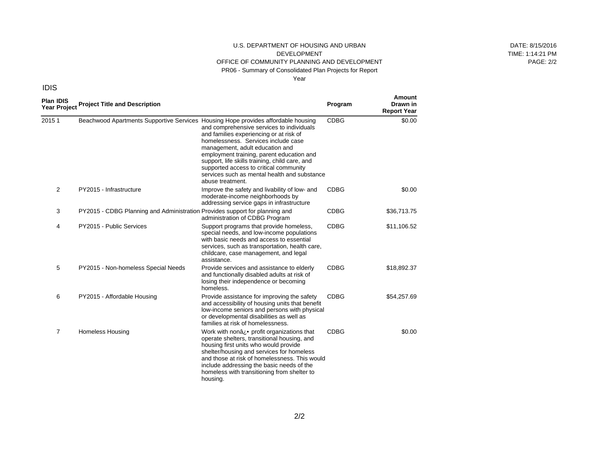#### U.S. DEPARTMENT OF HOUSING AND URBAN DEVELOPMENT OFFICE OF COMMUNITY PLANNING AND DEVELOPMENT PR06 - Summary of Consolidated Plan Projects for Report Year

DATE: 8/15/2016 TIME: 1:14:21 PM PAGE: 2/2

| <b>Plan IDIS</b> | Year Project Title and Description                                                |                                                                                                                                                                                                                                                                                                                                                                             | Program     | Amount<br>Drawn in<br><b>Report Year</b> |
|------------------|-----------------------------------------------------------------------------------|-----------------------------------------------------------------------------------------------------------------------------------------------------------------------------------------------------------------------------------------------------------------------------------------------------------------------------------------------------------------------------|-------------|------------------------------------------|
| 20151            | Beachwood Apartments Supportive Services Housing Hope provides affordable housing | and comprehensive services to individuals<br>and families experiencing or at risk of<br>homelessness. Services include case<br>management, adult education and<br>employment training, parent education and<br>support, life skills training, child care, and<br>supported access to critical community<br>services such as mental health and substance<br>abuse treatment. | <b>CDBG</b> | \$0.00                                   |
| 2                | PY2015 - Infrastructure                                                           | Improve the safety and livability of low- and<br>moderate-income neighborhoods by<br>addressing service gaps in infrastructure                                                                                                                                                                                                                                              | <b>CDBG</b> | \$0.00                                   |
| 3                | PY2015 - CDBG Planning and Administration Provides support for planning and       | administration of CDBG Program                                                                                                                                                                                                                                                                                                                                              | <b>CDBG</b> | \$36,713.75                              |
| 4                | PY2015 - Public Services                                                          | Support programs that provide homeless,<br>special needs, and low-income populations<br>with basic needs and access to essential<br>services, such as transportation, health care,<br>childcare, case management, and legal<br>assistance.                                                                                                                                  | <b>CDBG</b> | \$11,106.52                              |
| 5                | PY2015 - Non-homeless Special Needs                                               | Provide services and assistance to elderly<br>and functionally disabled adults at risk of<br>losing their independence or becoming<br>homeless.                                                                                                                                                                                                                             | <b>CDBG</b> | \$18,892.37                              |
| 6                | PY2015 - Affordable Housing                                                       | Provide assistance for improving the safety<br>and accessibility of housing units that benefit<br>low-income seniors and persons with physical<br>or developmental disabilities as well as<br>families at risk of homelessness.                                                                                                                                             | <b>CDBG</b> | \$54,257.69                              |
| $\overline{7}$   | <b>Homeless Housing</b>                                                           | Work with nona i. • profit organizations that<br>operate shelters, transitional housing, and<br>housing first units who would provide<br>shelter/housing and services for homeless<br>and those at risk of homelessness. This would<br>include addressing the basic needs of the<br>homeless with transitioning from shelter to<br>housing.                                 | <b>CDBG</b> | \$0.00                                   |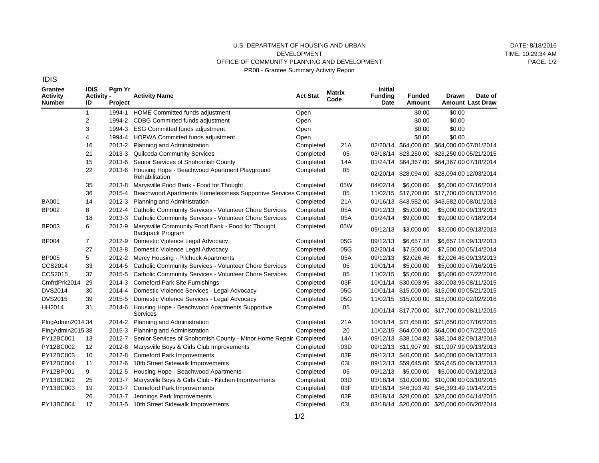#### U.S. DEPARTMENT OF HOUSING AND URBAN DEVELOPMENT OFFICE OF COMMUNITY PLANNING AND DEVELOPMENT PR08 - Grantee Summary Activity Report

DATE: 8/18/2016 TIME: 10:29:34 AM  $PAGF: 1/2$ 

**Grantee Activity Number IDIS Activity - ID Pgm Yr Project Activity Name Act Stat Matrix Code Initial Funding Date Funded Amount Drawn Amount Last Draw Date of** BA001 BP002 BP003 BP004 BP005 CCS2014 CCS2015 CmfrdPrk2014 DVS2014 DVS2015 HH2014 PlngAdmin2014 34 PlngAdmin2015 38 PY12BC001 PY12BC002 PY12BC003 PY12BC004 PY12BP001 PY13BC002 PY13BC003 PY13BC004 1 2 3 4 16 21 15 22 35 36 14 8 18 6 7 27 5 33 37 29 30 39 31 13 12 10 11 9 25 19 26 17 1994-1 HOME Committed funds adjustment 1994-2 CDBG Committed funds adjustment 1994-3 1994-4 2013-2 Planning and Administration 2013-3 2013-6 2013-6 2013-8 2015-4 2012-3 2012-4 2013-3 2012-9 Marysville Community Food Bank - Food for Thought 2012-9 Domestic Violence Legal Advocacy 2013-8 2012-2 Mercy Housing - Pilchuck Apartments 2014-5 2015-5 2014-3 2014-4 2015-5 2014-6 2014-2 Planning and Administration 2015-3 2012-7 2012-8 2012-8 2012-6 2012-5 2013-7 2013-7 2013-7 2013-5 10th Street Sidewalk Improvements ESG Committed funds adjustment HOPWA Committed funds adjustment Quilceda Community Services Senior Services of Snohomish County Housing Hope - Beachwood Apartment Playground **Rehabilitation** Marysville Food Bank - Food for Thought Beachwood Apartments Homelessness Supportive Services Completed Planning and Administration Catholic Community Services - Volunteer Chore Services Catholic Community Services - Volunteer Chore Services Backpack Program Domestic Violence Legal Advocacy Catholic Community Services - Volunteer Chore Services Catholic Community Services - Volunteer Chore Services Comeford Park Site Furnishings Domestic Violence Services - Legal Advocacy Domestic Violence Services - Legal Advocacy Housing Hope - Beachwood Apartments Supportive **Services** Planning and Administration Senior Services of Snohomish County - Minor Home Repair Completed Marysville Boys & Girls Club Improvements Comeford Park Improvements 10th Street Sidewalk Improvements Housing Hope - Beachwood Apartments Marysville Boys & Girls Club - Kitchen Improvements Comeford Park Improvements Jennings Park Improvements Open Open Open Open Completed Completed Completed Completed Completed Completed Completed Completed Completed Completed Completed Completed Completed Completed Completed Completed Completed Completed Completed Completed Completed Completed Completed Completed Completed Completed Completed Completed 21A 05 14A 05 05W 05 21A 05A 05A 05W 05G 05G 05A 05 05 03F 05G 05G 05 21A 20 14A 03D 03F 03L 05 03D 03F 03F 03L \$0.00 \$0.00 \$0.00 \$0.00 \$0.00 \$0.00 \$0.00 \$0.00 02/20/14 \$64,000.00 \$64,000.00 07/01/2014 03/18/14 \$23,250.00 \$23,250.00 05/21/2015 01/24/14 \$64,367.00 \$64,367.00 07/18/2014 02/20/14 \$28,094.00 \$28,094.00 12/03/2014 04/02/14 \$6,000.00 \$6,000.00 07/16/2014 11/02/15 \$17,700.00 \$17,700.00 08/13/2016 01/16/13 \$43,582.00 \$43,582.00 08/01/2013 09/12/13 \$5,000.00 \$5,000.00 09/13/2013 01/24/14 \$9,000.00 \$9,000.00 07/18/2014 09/12/13 \$3,000.00 \$3,000.00 09/13/2013 09/12/13 \$6,657.18 \$6,657.18 09/13/2013 02/20/14 \$7,500.00 \$7,500.00 05/14/2014 09/12/13 \$2,026.46 \$2,026.46 09/13/2013 10/01/14 \$5,000.00 \$5,000.00 07/16/2015 11/02/15 \$5,000.00 \$5,000.00 07/22/2016 10/01/14 \$30,003.95 \$30,003.95 08/11/2015 10/01/14 \$15,000.00 \$15,000.00 05/21/2015 11/02/15 \$15,000.00 \$15,000.00 02/02/2016 10/01/14 \$17,700.00 \$17,700.00 08/11/2015 10/01/14 \$71,650.00 \$71,650.00 07/16/2015 11/02/15 \$64,000.00 \$64,000.00 07/22/2016 09/12/13 \$38,104.82 \$38,104.82 09/13/2013 09/12/13 \$11,907.99 \$11,907.99 09/13/2013 09/12/13 \$40,000.00 \$40,000.00 09/13/2013 09/12/13 \$59,645.00 \$59,645.00 09/13/2013 09/12/13 \$5,000.00 \$5,000.00 09/13/2013 03/18/14 \$10,000.00 \$10,000.00 03/10/2015 03/18/14 \$46,393.49 \$46,393.49 10/14/2015 03/18/14 \$28,000.00 \$28,000.00 04/14/2015 03/18/14 \$20,000.00 \$20,000.00 06/20/2014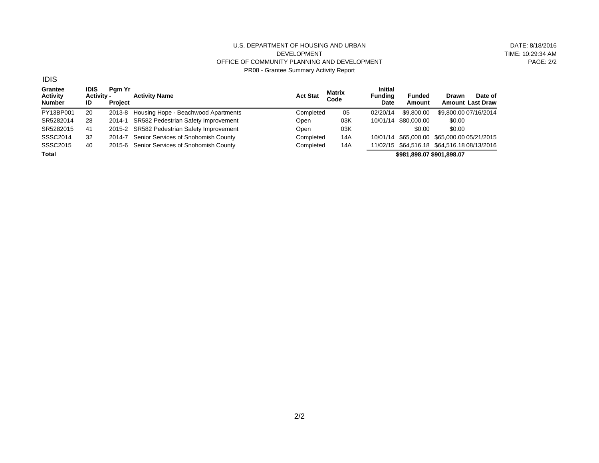#### U.S. DEPARTMENT OF HOUSING AND URBAN DEVELOPMENT OFFICE OF COMMUNITY PLANNING AND DEVELOPMENT PR08 - Grantee Summary Activity Report

DATE: 8/18/2016 TIME: 10:29:34 AM PAGE: 2/2

**Grantee Activity Number IDIS Activity - ID Pgm Yr Project Activity Name Act Stat Matrix Code Initial Funding Date Funded Amount Drawn Amount Last Draw Date of** PY13BP001 SR5282014 SR5282015 SSSC2014 SSSC2015 **Total** 20 28 41 32 40 2013-8 Housing Hope - Beachwood Apartments 2014-1 SR582 Pedestrian Safety Improvement 2015-2 SR582 Pedestrian Safety Improvement 2014-7 Senior Services of Snohomish County 2015-6 Senior Services of Snohomish County **Completed** Open Open Completed Completed 05 03K 03K 14A 14A 02/20/14 \$9,800.00 \$9,800.00 07/16/2014 10/01/14 \$80,000.00 \$0.00 \$0.00 \$0.00 10/01/14 \$65,000.00 \$65,000.00 05/21/2015 11/02/15 \$64,516.18 \$64,516.18 08/13/2016 **\$981,898.07 \$901,898.07**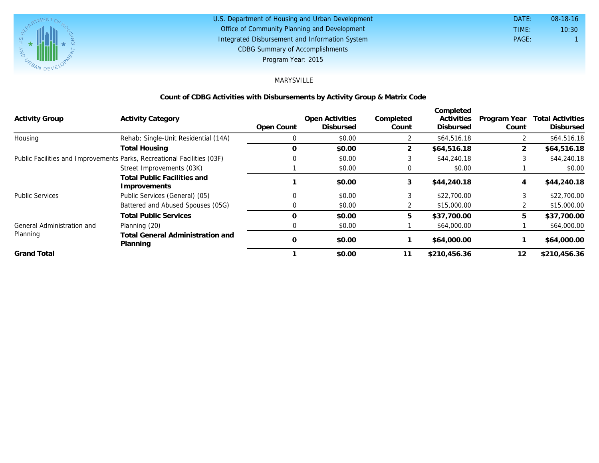

#### U.S. Department of Housing and Urban Development Office of Community Planning and Development Integrated Disbursement and Information System DATE: TIME: PAGE: 1 10:30 08-18-16 CDBG Summary of Accomplishments Program Year: 2015

## MARYSVILLE

#### **Count of CDBG Activities with Disbursements by Activity Group & Matrix Code**

|                            |                                                                         |               |                                     |                    | Completed                      |                       |                                             |
|----------------------------|-------------------------------------------------------------------------|---------------|-------------------------------------|--------------------|--------------------------------|-----------------------|---------------------------------------------|
| <b>Activity Group</b>      | <b>Activity Category</b>                                                | Open Count    | Open Activities<br><b>Disbursed</b> | Completed<br>Count | Activities<br><b>Disbursed</b> | Program Year<br>Count | <b>Total Activities</b><br><b>Disbursed</b> |
| Housing                    | Rehab; Single-Unit Residential (14A)                                    |               | \$0.00                              |                    | \$64,516.18                    |                       | \$64,516.18                                 |
|                            | <b>Total Housing</b>                                                    | $\Omega$      | \$0.00                              | $\overline{2}$     | \$64,516.18                    | $\overline{2}$        | \$64,516.18                                 |
|                            | Public Facilities and Improvements Parks, Recreational Facilities (03F) |               | \$0.00                              | 3                  | \$44,240.18                    |                       | \$44,240.18                                 |
|                            | Street Improvements (03K)                                               |               | \$0.00                              | $\Omega$           | \$0.00                         |                       | \$0.00                                      |
|                            | Total Public Facilities and<br>Improvements                             |               | \$0.00                              | 3                  | \$44,240.18                    | 4                     | \$44,240.18                                 |
| <b>Public Services</b>     | Public Services (General) (05)                                          | $\Omega$      | \$0.00                              | 3                  | \$22,700.00                    |                       | \$22,700.00                                 |
|                            | Battered and Abused Spouses (05G)                                       | $\Omega$      | \$0.00                              |                    | \$15,000.00                    |                       | \$15,000.00                                 |
|                            | <b>Total Public Services</b>                                            | $\Omega$      | \$0.00                              | 5                  | \$37,700.00                    | 5                     | \$37,700.00                                 |
| General Administration and | Planning (20)                                                           | $\Omega$      | \$0.00                              |                    | \$64,000.00                    |                       | \$64,000.00                                 |
| Planning                   | <b>Total General Administration and</b><br>Planning                     | $\mathcal{O}$ | \$0.00                              |                    | \$64,000.00                    |                       | \$64,000.00                                 |
| <b>Grand Total</b>         |                                                                         |               | \$0.00                              | 11                 | \$210,456.36                   | 12                    | \$210,456.36                                |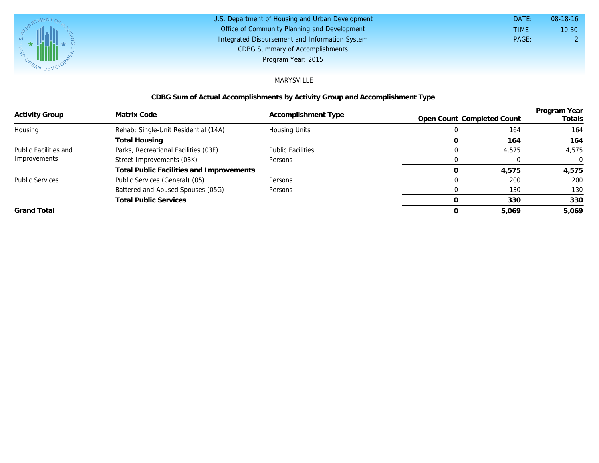

| U.S. Department of Housing and Urban Development | DATE: | $08-18-16$ |
|--------------------------------------------------|-------|------------|
| Office of Community Planning and Development     | TIME: | 10:30      |
| Integrated Disbursement and Information System   | PAGE: |            |
| <b>CDBG Summary of Accomplishments</b>           |       |            |
| Program Year: 2015                               |       |            |

#### MARYSVILLE

## **CDBG Sum of Actual Accomplishments by Activity Group and Accomplishment Type**

| <b>Activity Group</b>        | Matrix Code                              | Accomplishment Type      | Open Count Completed Count |       | Program Year<br>Totals |
|------------------------------|------------------------------------------|--------------------------|----------------------------|-------|------------------------|
| Housing                      | Rehab; Single-Unit Residential (14A)     | Housing Units            |                            | 164   | 164                    |
|                              | Total Housing                            |                          |                            | 164   | 164                    |
| <b>Public Facilities and</b> | Parks, Recreational Facilities (03F)     | <b>Public Facilities</b> |                            | 4,575 | 4,575                  |
| Improvements                 | Street Improvements (03K)                | Persons                  |                            |       | $\Omega$               |
|                              | Total Public Facilities and Improvements |                          |                            | 4,575 | 4.575                  |
| <b>Public Services</b>       | Public Services (General) (05)           | Persons                  |                            | 200   | 200                    |
|                              | Battered and Abused Spouses (05G)        | Persons                  |                            | 130   | 130                    |
|                              | <b>Total Public Services</b>             |                          |                            | 330   | 330                    |
| <b>Grand Total</b>           |                                          |                          |                            | 5.069 | 5.069                  |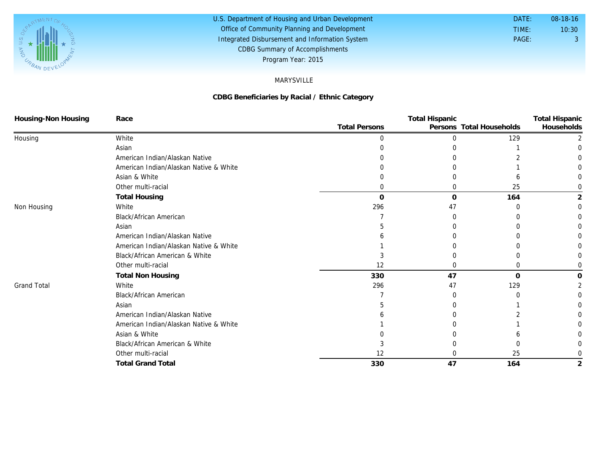

#### U.S. Department of Housing and Urban Development Office of Community Planning and Development Integrated Disbursement and Information System DATE: TIME: PAGE: 3 10:30 08-18-16 CDBG Summary of Accomplishments Program Year: 2015

#### MARYSVILLE

#### **CDBG Beneficiaries by Racial / Ethnic Category**

| Housing-Non Housing | Race                                   |                      | <b>Total Hispanic</b> |                          | <b>Total Hispanic</b> |
|---------------------|----------------------------------------|----------------------|-----------------------|--------------------------|-----------------------|
|                     |                                        | <b>Total Persons</b> |                       | Persons Total Households | Households            |
| Housing             | White                                  |                      |                       | 129                      |                       |
|                     | Asian                                  |                      |                       |                          |                       |
|                     | American Indian/Alaskan Native         |                      |                       |                          |                       |
|                     | American Indian/Alaskan Native & White |                      |                       |                          |                       |
|                     | Asian & White                          |                      |                       |                          |                       |
|                     | Other multi-racial                     |                      |                       | 25                       |                       |
|                     | <b>Total Housing</b>                   | O                    | $\Omega$              | 164                      | 2                     |
| Non Housing         | White                                  | 296                  | 47                    | U                        |                       |
|                     | Black/African American                 |                      |                       |                          |                       |
|                     | Asian                                  |                      |                       |                          |                       |
|                     | American Indian/Alaskan Native         |                      |                       |                          |                       |
|                     | American Indian/Alaskan Native & White |                      |                       |                          |                       |
|                     | Black/African American & White         |                      |                       |                          |                       |
|                     | Other multi-racial                     | 12                   |                       | Ω                        |                       |
|                     | <b>Total Non Housing</b>               | 330                  | 47                    | $\Omega$                 |                       |
| <b>Grand Total</b>  | White                                  | 296                  | 47                    | 129                      |                       |
|                     | <b>Black/African American</b>          |                      |                       | ∩                        |                       |
|                     | Asian                                  |                      |                       |                          |                       |
|                     | American Indian/Alaskan Native         |                      |                       |                          |                       |
|                     | American Indian/Alaskan Native & White |                      |                       |                          |                       |
|                     | Asian & White                          |                      |                       |                          |                       |
|                     | Black/African American & White         |                      |                       |                          |                       |
|                     | Other multi-racial                     | 12                   |                       | 25                       |                       |
|                     | <b>Total Grand Total</b>               | 330                  | 47                    | 164                      |                       |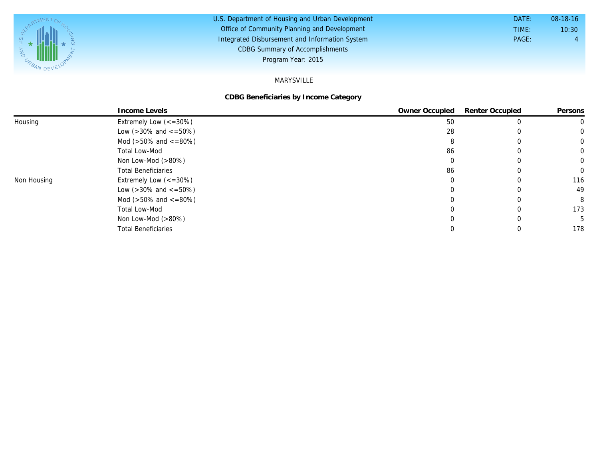

#### U.S. Department of Housing and Urban Development Office of Community Planning and Development Integrated Disbursement and Information System DATE: TIME: PAGE: 4 10:30 08-18-16 CDBG Summary of Accomplishments Program Year: 2015

#### MARYSVILLE

#### **CDBG Beneficiaries by Income Category**

|             | Income Levels                       | Owner Occupied | <b>Renter Occupied</b> | Persons  |
|-------------|-------------------------------------|----------------|------------------------|----------|
| Housing     | Extremely Low $\left(<=30\%\right)$ | 50             |                        |          |
|             | Low ( $>30\%$ and $\lt$ =50%)       | 28             |                        |          |
|             | Mod ( $>50\%$ and $\lt$ =80%)       |                |                        |          |
|             | <b>Total Low-Mod</b>                | -86            |                        | $\Omega$ |
|             | Non Low-Mod $(>80\%)$               |                |                        |          |
|             | <b>Total Beneficiaries</b>          | 86             |                        | $\Omega$ |
| Non Housing | Extremely Low $\left(<=30\%\right)$ |                |                        | 116      |
|             | Low ( $>30\%$ and $\lt$ =50%)       |                |                        | 49       |
|             | Mod ( $>50\%$ and $\lt$ =80%)       |                |                        | 8        |
|             | <b>Total Low-Mod</b>                |                |                        | 173      |
|             | Non Low-Mod $(>80\%)$               |                |                        |          |
|             | <b>Total Beneficiaries</b>          |                |                        | 178      |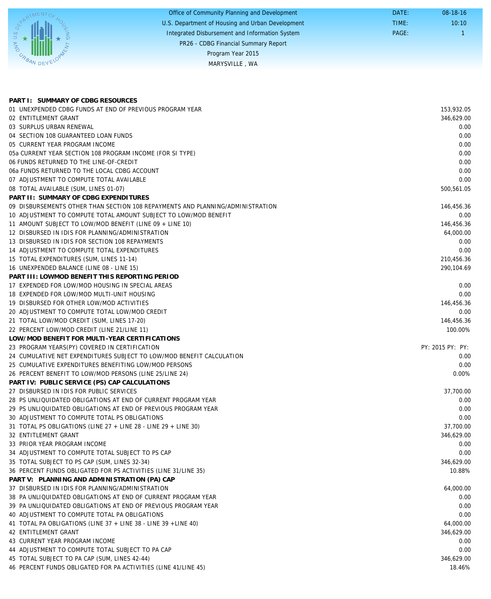|             | Office of Community Planning and Development     | DATE: | $08-18-16$ |
|-------------|--------------------------------------------------|-------|------------|
|             | U.S. Department of Housing and Urban Development | TIME: | 10:10      |
|             | Integrated Disbursement and Information System   | PAGE: |            |
|             | PR26 - CDBG Financial Summary Report             |       |            |
|             | Program Year 2015                                |       |            |
| URBAN DEVEL | MARYSVILLE, WA                                   |       |            |
|             |                                                  |       |            |

| PART I: SUMMARY OF CDBG RESOURCES                                              |                  |
|--------------------------------------------------------------------------------|------------------|
| 01 UNEXPENDED CDBG FUNDS AT END OF PREVIOUS PROGRAM YEAR                       | 153,932.05       |
| 02 ENTITLEMENT GRANT                                                           | 346.629.00       |
| 03 SURPLUS URBAN RENEWAL                                                       | 0.00             |
| 04 SECTION 108 GUARANTEED LOAN FUNDS                                           | 0.00             |
| 05 CURRENT YEAR PROGRAM INCOME                                                 | 0.00             |
| 05a CURRENT YEAR SECTION 108 PROGRAM INCOME (FOR SI TYPE)                      | 0.00             |
| 06 FUNDS RETURNED TO THE LINE-OF-CREDIT                                        | 0.00             |
| 06a FUNDS RETURNED TO THE LOCAL CDBG ACCOUNT                                   | 0.00             |
| 07 ADJUSTMENT TO COMPUTE TOTAL AVAILABLE                                       | 0.00             |
| 08 TOTAL AVAILABLE (SUM, LINES 01-07)                                          | 500,561.05       |
| PART II: SUMMARY OF CDBG EXPENDITURES                                          |                  |
| 09 DISBURSEMENTS OTHER THAN SECTION 108 REPAYMENTS AND PLANNING/ADMINISTRATION | 146,456.36       |
| 10 ADJUSTMENT TO COMPUTE TOTAL AMOUNT SUBJECT TO LOW/MOD BENEFIT               | 0.00             |
| 11 AMOUNT SUBJECT TO LOW/MOD BENEFIT (LINE 09 + LINE 10)                       | 146,456.36       |
| 12 DISBURSED IN IDIS FOR PLANNING/ADMINISTRATION                               | 64,000.00        |
| 13 DISBURSED IN IDIS FOR SECTION 108 REPAYMENTS                                | 0.00             |
| 14 ADJUSTMENT TO COMPUTE TOTAL EXPENDITURES                                    | 0.00             |
| 15 TOTAL EXPENDITURES (SUM, LINES 11-14)                                       | 210,456.36       |
| 16 UNEXPENDED BALANCE (LINE 08 - LINE 15)                                      | 290,104.69       |
| PART III: LOWMOD BENEFIT THIS REPORTING PERIOD                                 |                  |
| 17 EXPENDED FOR LOW/MOD HOUSING IN SPECIAL AREAS                               | 0.00             |
| 18 EXPENDED FOR LOW/MOD MULTI-UNIT HOUSING                                     | 0.00             |
| 19 DISBURSED FOR OTHER LOW/MOD ACTIVITIES                                      | 146,456.36       |
| 20 ADJUSTMENT TO COMPUTE TOTAL LOW/MOD CREDIT                                  | 0.00             |
| 21 TOTAL LOW/MOD CREDIT (SUM, LINES 17-20)                                     | 146,456.36       |
| 22 PERCENT LOW/MOD CREDIT (LINE 21/LINE 11)                                    | 100.00%          |
| LOW/MOD BENEFIT FOR MULTI-YEAR CERTIFICATIONS                                  |                  |
| 23 PROGRAM YEARS(PY) COVERED IN CERTIFICATION                                  | PY: 2015 PY: PY: |
| 24 CUMULATIVE NET EXPENDITURES SUBJECT TO LOW/MOD BENEFIT CALCULATION          | 0.00             |
| 25 CUMULATIVE EXPENDITURES BENEFITING LOW/MOD PERSONS                          | 0.00             |
| 26 PERCENT BENEFIT TO LOW/MOD PERSONS (LINE 25/LINE 24)                        | 0.00%            |
| PART IV: PUBLIC SERVICE (PS) CAP CALCULATIONS                                  |                  |
| 27 DISBURSED IN IDIS FOR PUBLIC SERVICES                                       | 37,700.00        |
| 28 PS UNLIQUIDATED OBLIGATIONS AT END OF CURRENT PROGRAM YEAR                  | 0.00             |
| 29 PS UNLIQUIDATED OBLIGATIONS AT END OF PREVIOUS PROGRAM YEAR                 | 0.00             |
| 30 ADJUSTMENT TO COMPUTE TOTAL PS OBLIGATIONS                                  | 0.00             |
| 31 TOTAL PS OBLIGATIONS (LINE 27 + LINE 28 - LINE 29 + LINE 30)                | 37,700.00        |
| 32 ENTITLEMENT GRANT                                                           | 346,629.00       |
| 33 PRIOR YEAR PROGRAM INCOME                                                   | 0.00             |
| 34 ADJUSTMENT TO COMPUTE TOTAL SUBJECT TO PS CAP                               | 0.00             |
| 35 TOTAL SUBJECT TO PS CAP (SUM, LINES 32-34)                                  | 346,629.00       |
| 36 PERCENT FUNDS OBLIGATED FOR PS ACTIVITIES (LINE 31/LINE 35)                 | 10.88%           |
| PART V: PLANNING AND ADMINISTRATION (PA) CAP                                   |                  |
| 37 DISBURSED IN IDIS FOR PLANNING/ADMINISTRATION                               | 64,000.00        |
| 38 PA UNLIQUIDATED OBLIGATIONS AT END OF CURRENT PROGRAM YEAR                  | 0.00             |
| 39 PA UNLIQUIDATED OBLIGATIONS AT END OF PREVIOUS PROGRAM YEAR                 | 0.00             |
| 40 ADJUSTMENT TO COMPUTE TOTAL PA OBLIGATIONS                                  | 0.00             |
| 41 TOTAL PA OBLIGATIONS (LINE 37 + LINE 38 - LINE 39 + LINE 40)                | 64,000.00        |
| 42 ENTITLEMENT GRANT                                                           | 346,629.00       |
| 43 CURRENT YEAR PROGRAM INCOME                                                 | 0.00             |
| 44 ADJUSTMENT TO COMPUTE TOTAL SUBJECT TO PA CAP                               | 0.00             |
| 45 TOTAL SUBJECT TO PA CAP (SUM, LINES 42-44)                                  | 346,629.00       |
| 46 PERCENT FUNDS OBLIGATED FOR PA ACTIVITIES (LINE 41/LINE 45)                 | 18.46%           |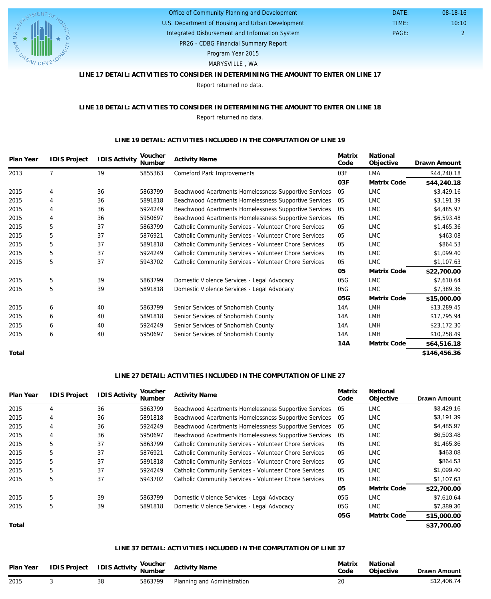

### U.S. Department of Housing and Urban Development Office of Community Planning and Development

Integrated Disbursement and Information System

PAGE: 2 10:10 08-18-16

 DATE: TIME:

PR26 - CDBG Financial Summary Report

Program Year 2015

MARYSVILLE , WA

### **LINE 17 DETAIL: ACTIVITIES TO CONSIDER IN DETERMINING THE AMOUNT TO ENTER ON LINE 17**

Report returned no data.

#### **LINE 18 DETAIL: ACTIVITIES TO CONSIDER IN DETERMINING THE AMOUNT TO ENTER ON LINE 18** Report returned no data.

#### **LINE 19 DETAIL: ACTIVITIES INCLUDED IN THE COMPUTATION OF LINE 19**

| Plan Year | <b>IDIS Project</b> | <b>IDIS Activity</b> | Voucher<br>Number | <b>Activity Name</b>                                   | Matrix<br>Code | National<br>Objective | Drawn Amount |
|-----------|---------------------|----------------------|-------------------|--------------------------------------------------------|----------------|-----------------------|--------------|
| 2013      |                     | 19                   | 5855363           | Comeford Park Improvements                             | 03F            | LMA                   | \$44,240.18  |
|           |                     |                      |                   |                                                        | 03F            | Matrix Code           | \$44,240.18  |
| 2015      | 4                   | 36                   | 5863799           | Beachwood Apartments Homelessness Supportive Services  | 05             | <b>LMC</b>            | \$3,429.16   |
| 2015      | 4                   | 36                   | 5891818           | Beachwood Apartments Homelessness Supportive Services  | 05             | <b>LMC</b>            | \$3,191.39   |
| 2015      |                     | 36                   | 5924249           | Beachwood Apartments Homelessness Supportive Services  | 05             | <b>LMC</b>            | \$4,485.97   |
| 2015      |                     | 36                   | 5950697           | Beachwood Apartments Homelessness Supportive Services  | 05             | <b>LMC</b>            | \$6,593.48   |
| 2015      | 5                   | 37                   | 5863799           | Catholic Community Services - Volunteer Chore Services | 05             | <b>LMC</b>            | \$1,465.36   |
| 2015      | 5                   | 37                   | 5876921           | Catholic Community Services - Volunteer Chore Services | 05             | <b>LMC</b>            | \$463.08     |
| 2015      | 5                   | 37                   | 5891818           | Catholic Community Services - Volunteer Chore Services | 05             | <b>LMC</b>            | \$864.53     |
| 2015      | 5                   | 37                   | 5924249           | Catholic Community Services - Volunteer Chore Services | 05             | <b>LMC</b>            | \$1,099.40   |
| 2015      | 5                   | 37                   | 5943702           | Catholic Community Services - Volunteer Chore Services | 05             | <b>LMC</b>            | \$1,107.63   |
|           |                     |                      |                   |                                                        | 05             | Matrix Code           | \$22,700.00  |
| 2015      | 5                   | 39                   | 5863799           | Domestic Violence Services - Legal Advocacy            | 05G            | <b>LMC</b>            | \$7,610.64   |
| 2015      | 5                   | 39                   | 5891818           | Domestic Violence Services - Legal Advocacy            | 05G            | LMC                   | \$7,389.36   |
|           |                     |                      |                   |                                                        | 05G            | Matrix Code           | \$15,000.00  |
| 2015      | 6                   | 40                   | 5863799           | Senior Services of Snohomish County                    | 14A            | <b>LMH</b>            | \$13,289.45  |
| 2015      | 6                   | 40                   | 5891818           | Senior Services of Snohomish County                    | 14A            | LMH                   | \$17,795.94  |
| 2015      | 6                   | 40                   | 5924249           | Senior Services of Snohomish County                    | 14A            | <b>LMH</b>            | \$23,172.30  |
| 2015      | 6                   | 40                   | 5950697           | Senior Services of Snohomish County                    | 14A            | <b>LMH</b>            | \$10,258.49  |
|           |                     |                      |                   |                                                        | 14A            | Matrix Code           | \$64,516.18  |
| Total     |                     |                      |                   |                                                        |                |                       | \$146,456.36 |

#### **LINE 27 DETAIL: ACTIVITIES INCLUDED IN THE COMPUTATION OF LINE 27**

| Plan Year | <b>IDIS Project</b> | <b>IDIS Activity</b> | Voucher<br>Number | <b>Activity Name</b>                                   | Matrix<br>Code | National<br>Objective | <b>Drawn Amount</b> |
|-----------|---------------------|----------------------|-------------------|--------------------------------------------------------|----------------|-----------------------|---------------------|
| 2015      | 4                   | 36                   | 5863799           | Beachwood Apartments Homelessness Supportive Services  | 05             | <b>LMC</b>            | \$3,429.16          |
| 2015      | 4                   | 36                   | 5891818           | Beachwood Apartments Homelessness Supportive Services  | -05            | <b>LMC</b>            | \$3,191.39          |
| 2015      | 4                   | 36                   | 5924249           | Beachwood Apartments Homelessness Supportive Services  | -05            | <b>LMC</b>            | \$4,485.97          |
| 2015      | 4                   | 36                   | 5950697           | Beachwood Apartments Homelessness Supportive Services  | -05            | <b>LMC</b>            | \$6,593.48          |
| 2015      | 5                   | 37                   | 5863799           | Catholic Community Services - Volunteer Chore Services | 05             | <b>LMC</b>            | \$1,465.36          |
| 2015      | 5                   | 37                   | 5876921           | Catholic Community Services - Volunteer Chore Services | 05             | <b>LMC</b>            | \$463.08            |
| 2015      | 5                   | 37                   | 5891818           | Catholic Community Services - Volunteer Chore Services | 05             | LMC                   | \$864.53            |
| 2015      | 5                   | 37                   | 5924249           | Catholic Community Services - Volunteer Chore Services | 05             | <b>LMC</b>            | \$1,099.40          |
| 2015      | 5                   | 37                   | 5943702           | Catholic Community Services - Volunteer Chore Services | 05             | <b>LMC</b>            | \$1,107.63          |
|           |                     |                      |                   |                                                        | 05             | Matrix Code           | \$22,700.00         |
| 2015      | 5                   | 39                   | 5863799           | Domestic Violence Services - Legal Advocacy            | 05G            | <b>LMC</b>            | \$7,610.64          |
| 2015      | 5                   | 39                   | 5891818           | Domestic Violence Services - Legal Advocacy            | 05G            | <b>LMC</b>            | \$7,389.36          |
|           |                     |                      |                   |                                                        | 05G            | Matrix Code           | \$15,000.00         |
| Total     |                     |                      |                   |                                                        |                |                       | \$37,700.00         |

#### **LINE 37 DETAIL: ACTIVITIES INCLUDED IN THE COMPUTATION OF LINE 37**

| Plan Year | IDIS Project IDIS Activity Voucher |    |         | <b>Activity Name</b>        | Matrix<br>Code | National<br>Objective | <b>Drawn Amount</b> |
|-----------|------------------------------------|----|---------|-----------------------------|----------------|-----------------------|---------------------|
| 2015      |                                    | 38 | 5863799 | Planning and Administration | $\sim$         |                       | \$12,406.74         |